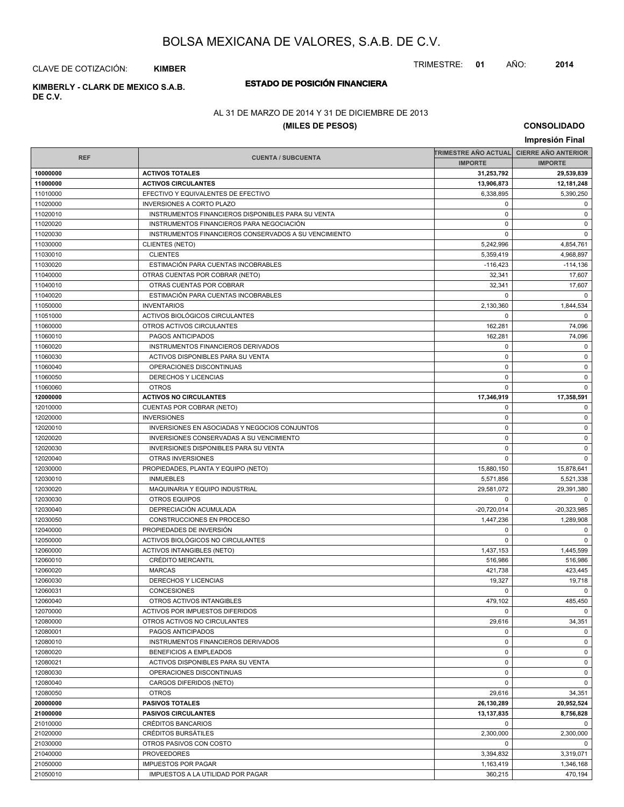TRIMESTRE: **01** AÑO: **2014**

CLAVE DE COTIZACIÓN: **KIMBER**

## **ESTADO DE POSICIÓN FINANCIERA KIMBERLY - CLARK DE MEXICO S.A.B.**

**DE C.V.**

### AL 31 DE MARZO DE 2014 Y 31 DE DICIEMBRE DE 2013

### **(MILES DE PESOS)**

|                      |                                                       |                             | Impresión Final              |
|----------------------|-------------------------------------------------------|-----------------------------|------------------------------|
|                      |                                                       | <b>TRIMESTRE AÑO ACTUAL</b> | <b>CIERRE AÑO ANTERIOR</b>   |
| <b>REF</b>           | <b>CUENTA / SUBCUENTA</b>                             | <b>IMPORTE</b>              | <b>IMPORTE</b>               |
| 10000000             | <b>ACTIVOS TOTALES</b>                                | 31,253,792                  | 29,539,839                   |
| 11000000             | <b>ACTIVOS CIRCULANTES</b>                            | 13,906,873                  | 12,181,248                   |
| 11010000             | EFECTIVO Y EQUIVALENTES DE EFECTIVO                   | 6,338,895                   | 5,390,250                    |
| 11020000             | <b>INVERSIONES A CORTO PLAZO</b>                      | 0                           | 0                            |
| 11020010             | INSTRUMENTOS FINANCIEROS DISPONIBLES PARA SU VENTA    | $\mathbf 0$                 | 0                            |
| 11020020             | INSTRUMENTOS FINANCIEROS PARA NEGOCIACIÓN             | $\mathbf 0$                 | 0                            |
| 11020030             | INSTRUMENTOS FINANCIEROS CONSERVADOS A SU VENCIMIENTO | $\mathbf 0$                 | $\mathbf 0$                  |
| 11030000             | <b>CLIENTES (NETO)</b>                                | 5,242,996                   | 4,854,761                    |
| 11030010             | <b>CLIENTES</b>                                       | 5,359,419                   | 4,968,897                    |
| 11030020             | ESTIMACIÓN PARA CUENTAS INCOBRABLES                   | $-116,423$                  | $-114,136$                   |
| 11040000             | OTRAS CUENTAS POR COBRAR (NETO)                       | 32,341                      | 17,607                       |
| 11040010             | OTRAS CUENTAS POR COBRAR                              | 32,341                      | 17,607                       |
| 11040020             | ESTIMACIÓN PARA CUENTAS INCOBRABLES                   | $\mathbf 0$                 | $\mathbf 0$                  |
| 11050000             | <b>INVENTARIOS</b>                                    | 2,130,360                   | 1,844,534                    |
| 11051000             | ACTIVOS BIOLÓGICOS CIRCULANTES                        | $\mathbf 0$                 | $\mathbf 0$                  |
| 11060000             | OTROS ACTIVOS CIRCULANTES                             | 162,281                     | 74,096                       |
| 11060010             | PAGOS ANTICIPADOS                                     | 162,281                     | 74,096                       |
| 11060020             | INSTRUMENTOS FINANCIEROS DERIVADOS                    | $\pmb{0}$                   | 0                            |
| 11060030             | ACTIVOS DISPONIBLES PARA SU VENTA                     | $\mathbf 0$                 | $\mathbf 0$                  |
| 11060040             | OPERACIONES DISCONTINUAS                              | $\mathbf 0$                 | 0                            |
| 11060050             | DERECHOS Y LICENCIAS                                  | $\mathbf 0$                 | 0                            |
| 11060060             | <b>OTROS</b>                                          | $\mathbf 0$                 | $\mathbf 0$                  |
| 12000000             | <b>ACTIVOS NO CIRCULANTES</b>                         | 17,346,919                  | 17,358,591                   |
| 12010000             | CUENTAS POR COBRAR (NETO)                             | $\mathbf 0$                 | 0                            |
| 12020000             | <b>INVERSIONES</b>                                    | $\mathbf 0$                 | $\mathbf 0$                  |
| 12020010             | INVERSIONES EN ASOCIADAS Y NEGOCIOS CONJUNTOS         | $\mathbf 0$                 | 0                            |
| 12020020             | INVERSIONES CONSERVADAS A SU VENCIMIENTO              | $\pmb{0}$                   | 0                            |
| 12020030             | <b>INVERSIONES DISPONIBLES PARA SU VENTA</b>          | $\mathbf 0$                 | $\mathbf 0$                  |
| 12020040             | OTRAS INVERSIONES                                     | $\mathbf 0$                 | $\mathbf 0$                  |
| 12030000             | PROPIEDADES, PLANTA Y EQUIPO (NETO)                   | 15,880,150                  | 15,878,641                   |
| 12030010             | <b>INMUEBLES</b>                                      | 5,571,856                   | 5,521,338                    |
| 12030020             | MAQUINARIA Y EQUIPO INDUSTRIAL                        | 29,581,072<br>$\mathbf 0$   | 29,391,380                   |
| 12030030<br>12030040 | <b>OTROS EQUIPOS</b><br>DEPRECIACIÓN ACUMULADA        | $-20,720,014$               | $\mathbf 0$<br>$-20,323,985$ |
| 12030050             | CONSTRUCCIONES EN PROCESO                             | 1,447,236                   | 1,289,908                    |
| 12040000             | PROPIEDADES DE INVERSIÓN                              | $\mathbf 0$                 | 0                            |
| 12050000             | ACTIVOS BIOLÓGICOS NO CIRCULANTES                     | $\mathbf 0$                 | $\mathbf 0$                  |
| 12060000             | <b>ACTIVOS INTANGIBLES (NETO)</b>                     | 1,437,153                   | 1,445,599                    |
| 12060010             | <b>CRÉDITO MERCANTIL</b>                              | 516,986                     | 516,986                      |
| 12060020             | <b>MARCAS</b>                                         | 421.738                     | 423,445                      |
| 12060030             | DERECHOS Y LICENCIAS                                  | 19,327                      | 19,718                       |
| 12060031             | CONCESIONES                                           | $\mathbf 0$                 | 0                            |
| 12060040             | OTROS ACTIVOS INTANGIBLES                             | 479,102                     | 485,450                      |
| 12070000             | ACTIVOS POR IMPUESTOS DIFERIDOS                       | $\Omega$                    | $\mathbf 0$                  |
| 12080000             | OTROS ACTIVOS NO CIRCULANTES                          | 29,616                      | 34,351                       |
| 12080001             | PAGOS ANTICIPADOS                                     | $\mathbf 0$                 | 0                            |
| 12080010             | INSTRUMENTOS FINANCIEROS DERIVADOS                    | 0                           | 0                            |
| 12080020             | BENEFICIOS A EMPLEADOS                                | $\mathbf 0$                 | 0                            |
| 12080021             | ACTIVOS DISPONIBLES PARA SU VENTA                     | 0                           | $\mathbf 0$                  |
| 12080030             | OPERACIONES DISCONTINUAS                              | 0                           | 0                            |
| 12080040             | CARGOS DIFERIDOS (NETO)                               | $\mathbf 0$                 | 0                            |
| 12080050             | <b>OTROS</b>                                          | 29,616                      | 34,351                       |
| 20000000             | <b>PASIVOS TOTALES</b>                                | 26,130,289                  | 20,952,524                   |
| 21000000             | <b>PASIVOS CIRCULANTES</b>                            | 13,137,835                  | 8,756,828                    |
| 21010000             | CRÉDITOS BANCARIOS                                    | $\Omega$                    | $\mathbf 0$                  |
| 21020000             | CRÉDITOS BURSÁTILES                                   | 2,300,000                   | 2,300,000                    |
| 21030000             | OTROS PASIVOS CON COSTO                               | 0                           | 0                            |
| 21040000             | <b>PROVEEDORES</b>                                    | 3,394,832                   | 3,319,071                    |
| 21050000             | <b>IMPUESTOS POR PAGAR</b>                            | 1,163,419                   | 1,346,168                    |
| 21050010             | IMPUESTOS A LA UTILIDAD POR PAGAR                     | 360,215                     | 470,194                      |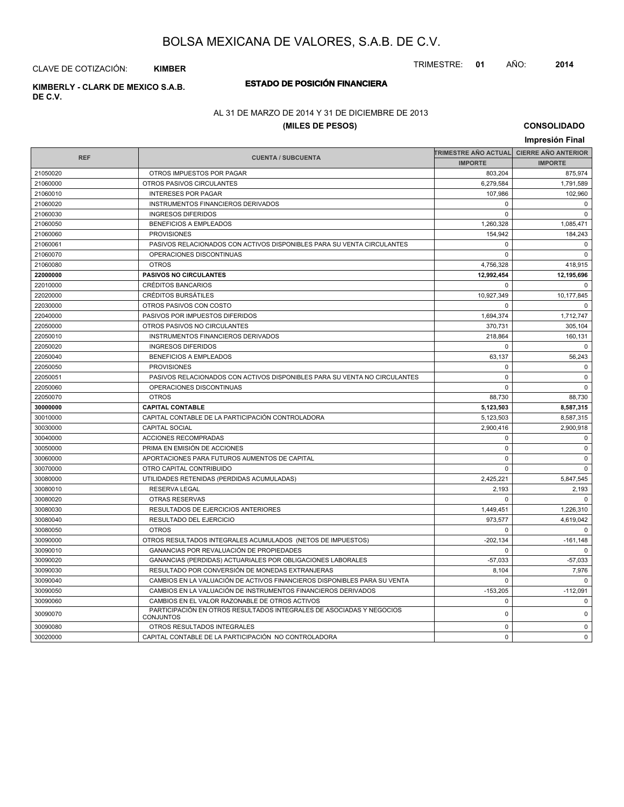TRIMESTRE: **01** AÑO: **2014**

CLAVE DE COTIZACIÓN: **KIMBER**

**DE C.V.**

## **ESTADO DE POSICIÓN FINANCIERA KIMBERLY - CLARK DE MEXICO S.A.B.**

### AL 31 DE MARZO DE 2014 Y 31 DE DICIEMBRE DE 2013

#### **(MILES DE PESOS)**

|            |                                                                                   |                                          | Impresión Final |
|------------|-----------------------------------------------------------------------------------|------------------------------------------|-----------------|
|            |                                                                                   | TRIMESTRE AÑO ACTUAL CIERRE AÑO ANTERIOR |                 |
| <b>REF</b> | <b>CUENTA / SUBCUENTA</b>                                                         | <b>IMPORTE</b>                           | <b>IMPORTE</b>  |
| 21050020   | OTROS IMPUESTOS POR PAGAR                                                         | 803,204                                  | 875,974         |
| 21060000   | OTROS PASIVOS CIRCULANTES                                                         | 6,279,584                                | 1,791,589       |
| 21060010   | <b>INTERESES POR PAGAR</b>                                                        | 107,986                                  | 102,960         |
| 21060020   | INSTRUMENTOS FINANCIEROS DERIVADOS                                                | $\mathbf 0$                              | $\mathbf 0$     |
| 21060030   | <b>INGRESOS DIFERIDOS</b>                                                         | $\Omega$                                 | $\Omega$        |
| 21060050   | <b>BENEFICIOS A EMPLEADOS</b>                                                     | 1,260,328                                | 1,085,471       |
| 21060060   | <b>PROVISIONES</b>                                                                | 154,942                                  | 184,243         |
| 21060061   | PASIVOS RELACIONADOS CON ACTIVOS DISPONIBLES PARA SU VENTA CIRCULANTES            | $\Omega$                                 | $\Omega$        |
| 21060070   | OPERACIONES DISCONTINUAS                                                          | $\Omega$                                 | $\Omega$        |
| 21060080   | <b>OTROS</b>                                                                      | 4,756,328                                | 418,915         |
| 22000000   | <b>PASIVOS NO CIRCULANTES</b>                                                     | 12,992,454                               | 12,195,696      |
| 22010000   | <b>CRÉDITOS BANCARIOS</b>                                                         | $\Omega$                                 | $\Omega$        |
| 22020000   | <b>CRÉDITOS BURSÁTILES</b>                                                        | 10,927,349                               | 10,177,845      |
| 22030000   | OTROS PASIVOS CON COSTO                                                           | $\Omega$                                 | $\mathbf 0$     |
| 22040000   | PASIVOS POR IMPUESTOS DIFERIDOS                                                   | 1,694,374                                | 1,712,747       |
| 22050000   | OTROS PASIVOS NO CIRCULANTES                                                      | 370,731                                  | 305,104         |
| 22050010   | INSTRUMENTOS FINANCIEROS DERIVADOS                                                | 218,864                                  | 160,131         |
| 22050020   | <b>INGRESOS DIFERIDOS</b>                                                         | $\Omega$                                 | $\Omega$        |
| 22050040   | <b>BENEFICIOS A EMPLEADOS</b>                                                     | 63,137                                   | 56,243          |
| 22050050   | <b>PROVISIONES</b>                                                                | $\mathbf 0$                              | $\mathbf 0$     |
| 22050051   | PASIVOS RELACIONADOS CON ACTIVOS DISPONIBLES PARA SU VENTA NO CIRCULANTES         | $\mathbf 0$                              | $\mathbf 0$     |
| 22050060   | OPERACIONES DISCONTINUAS                                                          | $\mathbf 0$                              | $\mathbf{0}$    |
| 22050070   | <b>OTROS</b>                                                                      | 88,730                                   | 88,730          |
| 30000000   | <b>CAPITAL CONTABLE</b>                                                           | 5,123,503                                | 8,587,315       |
| 30010000   | CAPITAL CONTABLE DE LA PARTICIPACIÓN CONTROLADORA                                 | 5,123,503                                | 8,587,315       |
| 30030000   | <b>CAPITAL SOCIAL</b>                                                             | 2,900,416                                | 2,900,918       |
| 30040000   | ACCIONES RECOMPRADAS                                                              | $\mathbf 0$                              | $\mathbf{0}$    |
| 30050000   | PRIMA EN EMISIÓN DE ACCIONES                                                      | $\mathbf 0$                              | $\mathbf 0$     |
| 30060000   | APORTACIONES PARA FUTUROS AUMENTOS DE CAPITAL                                     | $\mathbf 0$                              | $\mathbf 0$     |
| 30070000   | OTRO CAPITAL CONTRIBUIDO                                                          | $\mathbf 0$                              | $\mathbf 0$     |
| 30080000   | UTILIDADES RETENIDAS (PERDIDAS ACUMULADAS)                                        | 2,425,221                                | 5,847,545       |
| 30080010   | <b>RESERVA LEGAL</b>                                                              | 2.193                                    | 2,193           |
| 30080020   | <b>OTRAS RESERVAS</b>                                                             | 0                                        | $\mathbf 0$     |
| 30080030   | RESULTADOS DE EJERCICIOS ANTERIORES                                               | 1,449,451                                | 1,226,310       |
| 30080040   | RESULTADO DEL EJERCICIO                                                           | 973.577                                  | 4,619,042       |
| 30080050   | <b>OTROS</b>                                                                      | $\mathbf 0$                              | $\mathbf 0$     |
| 30090000   | OTROS RESULTADOS INTEGRALES ACUMULADOS (NETOS DE IMPUESTOS)                       | $-202, 134$                              | $-161,148$      |
| 30090010   | <b>GANANCIAS POR REVALUACIÓN DE PROPIEDADES</b>                                   | $\Omega$                                 | $\Omega$        |
| 30090020   | GANANCIAS (PERDIDAS) ACTUARIALES POR OBLIGACIONES LABORALES                       | $-57,033$                                | $-57,033$       |
| 30090030   | RESULTADO POR CONVERSIÓN DE MONEDAS EXTRANJERAS                                   | 8,104                                    | 7,976           |
| 30090040   | CAMBIOS EN LA VALUACIÓN DE ACTIVOS FINANCIEROS DISPONIBLES PARA SU VENTA          | $\Omega$                                 | $\Omega$        |
| 30090050   | CAMBIOS EN LA VALUACIÓN DE INSTRUMENTOS FINANCIEROS DERIVADOS                     | $-153,205$                               | $-112,091$      |
| 30090060   | CAMBIOS EN EL VALOR RAZONABLE DE OTROS ACTIVOS                                    | $\mathbf 0$                              | $\mathbf 0$     |
| 30090070   | PARTICIPACIÓN EN OTROS RESULTADOS INTEGRALES DE ASOCIADAS Y NEGOCIOS<br>CONJUNTOS | $\mathbf 0$                              | $\mathbf 0$     |
| 30090080   | OTROS RESULTADOS INTEGRALES                                                       | $\mathbf 0$                              | $\mathbf 0$     |
| 30020000   | CAPITAL CONTABLE DE LA PARTICIPACIÓN NO CONTROLADORA                              | $\Omega$                                 | $\Omega$        |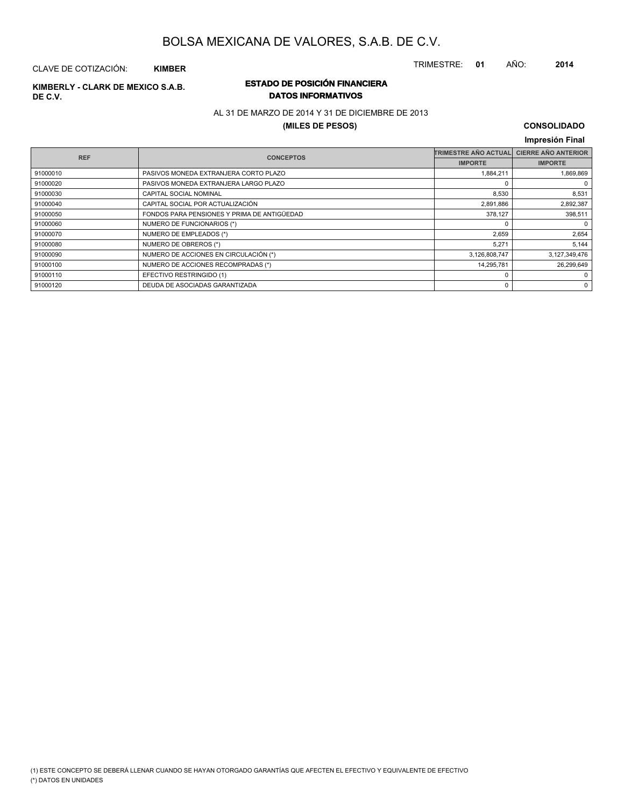TRIMESTRE: **01** AÑO: **2014**

#### CLAVE DE COTIZACIÓN: **KIMBER**

# **DE C.V.**

### **ESTADO DE POSICIÓN FINANCIERA KIMBERLY - CLARK DE MEXICO S.A.B. DATOS INFORMATIVOS**

### AL 31 DE MARZO DE 2014 Y 31 DE DICIEMBRE DE 2013

#### **(MILES DE PESOS)**

| <b>CIERRE AÑO ANTERIOR</b><br><b>TRIMESTRE AÑO ACTUAL</b><br><b>REF</b><br><b>CONCEPTOS</b><br><b>IMPORTE</b><br><b>IMPORTE</b><br>91000010<br>PASIVOS MONEDA EXTRANJERA CORTO PLAZO<br>1,884,211<br>PASIVOS MONEDA EXTRANJERA LARGO PLAZO<br>91000020 | Impresión Final |
|--------------------------------------------------------------------------------------------------------------------------------------------------------------------------------------------------------------------------------------------------------|-----------------|
|                                                                                                                                                                                                                                                        |                 |
|                                                                                                                                                                                                                                                        |                 |
|                                                                                                                                                                                                                                                        | 1,869,869       |
|                                                                                                                                                                                                                                                        | 0               |
| CAPITAL SOCIAL NOMINAL<br>8,530<br>91000030                                                                                                                                                                                                            | 8,531           |
| CAPITAL SOCIAL POR ACTUALIZACIÓN<br>2,891,886<br>91000040                                                                                                                                                                                              | 2,892,387       |
| FONDOS PARA PENSIONES Y PRIMA DE ANTIGÜEDAD<br>378,127<br>91000050                                                                                                                                                                                     | 398,511         |
| NUMERO DE FUNCIONARIOS (*)<br>91000060                                                                                                                                                                                                                 | 0               |
| NUMERO DE EMPLEADOS (*)<br>2,659<br>91000070                                                                                                                                                                                                           | 2,654           |
| NUMERO DE OBREROS (*)<br>5.271<br>91000080                                                                                                                                                                                                             | 5,144           |
| NUMERO DE ACCIONES EN CIRCULACIÓN (*)<br>3,126,808,747<br>3,127,349,476<br>91000090                                                                                                                                                                    |                 |
| NUMERO DE ACCIONES RECOMPRADAS (*)<br>14,295,781<br>91000100                                                                                                                                                                                           | 26,299,649      |
| EFECTIVO RESTRINGIDO (1)<br>91000110<br>O                                                                                                                                                                                                              | 0               |
| DEUDA DE ASOCIADAS GARANTIZADA<br>91000120<br>0                                                                                                                                                                                                        | 0               |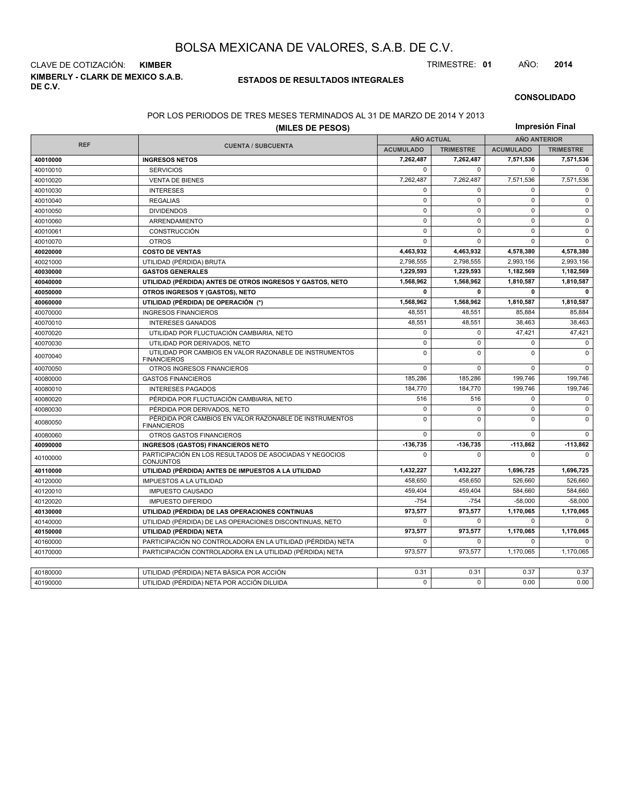**KIMBERLY - CLARK DE MEXICO S.A.B. DE C.V.** CLAVE DE COTIZACIÓN: **KIMBER** TRIMESTRE: **01** AÑO: **2014**

#### **ESTADOS DE RESULTADOS INTEGRALES**

#### **CONSOLIDADO**

#### POR LOS PERIODOS DE TRES MESES TERMINADOS AL 31 DE MARZO DE 2014 Y 2013

|            | (MILES DE PESOS)                                                              |                   |                  |                     |                  |  |
|------------|-------------------------------------------------------------------------------|-------------------|------------------|---------------------|------------------|--|
|            |                                                                               | <b>AÑO ACTUAL</b> |                  | <b>AÑO ANTERIOR</b> |                  |  |
| <b>REF</b> | <b>CUENTA / SUBCUENTA</b>                                                     | <b>ACUMULADO</b>  | <b>TRIMESTRE</b> | <b>ACUMULADO</b>    | <b>TRIMESTRE</b> |  |
| 40010000   | <b>INGRESOS NETOS</b>                                                         | 7,262,487         | 7,262,487        | 7,571,536           | 7,571,536        |  |
| 40010010   | <b>SERVICIOS</b>                                                              | $\Omega$          | $\Omega$         | $\Omega$            | $\Omega$         |  |
| 40010020   | <b>VENTA DE BIENES</b>                                                        | 7,262,487         | 7,262,487        | 7,571,536           | 7,571,536        |  |
| 40010030   | <b>INTERESES</b>                                                              | $\Omega$          | $\mathbf 0$      | $\Omega$            | $\mathbf 0$      |  |
| 40010040   | <b>REGALIAS</b>                                                               | $\Omega$          | $\Omega$         | $\Omega$            | $\Omega$         |  |
| 40010050   | <b>DIVIDENDOS</b>                                                             | $\mathbf 0$       | $\mathbf 0$      | $\mathbf 0$         | $\mathbf 0$      |  |
| 40010060   | ARRENDAMIENTO                                                                 | $\Omega$          | $\Omega$         | $\Omega$            | $\mathbf 0$      |  |
| 40010061   | CONSTRUCCIÓN                                                                  | $\mathbf 0$       | $\mathbf 0$      | $\mathbf 0$         | $\mathbf 0$      |  |
| 40010070   | <b>OTROS</b>                                                                  | $\mathbf 0$       | $\mathbf 0$      | $\Omega$            | $\mathbf 0$      |  |
| 40020000   | <b>COSTO DE VENTAS</b>                                                        | 4,463,932         | 4,463,932        | 4,578,380           | 4,578,380        |  |
| 40021000   | UTILIDAD (PÉRDIDA) BRUTA                                                      | 2,798,555         | 2.798.555        | 2,993,156           | 2,993,156        |  |
| 40030000   | <b>GASTOS GENERALES</b>                                                       | 1,229,593         | 1,229,593        | 1,182,569           | 1,182,569        |  |
| 40040000   | UTILIDAD (PÉRDIDA) ANTES DE OTROS INGRESOS Y GASTOS, NETO                     | 1.568.962         | 1.568.962        | 1,810,587           | 1,810,587        |  |
| 40050000   | OTROS INGRESOS Y (GASTOS), NETO                                               | $\mathbf{0}$      | 0                | 0                   | $\mathbf{0}$     |  |
| 40060000   | UTILIDAD (PÉRDIDA) DE OPERACIÓN (*)                                           | 1,568,962         | 1,568,962        | 1,810,587           | 1,810,587        |  |
| 40070000   | <b>INGRESOS FINANCIEROS</b>                                                   | 48,551            | 48,551           | 85,884              | 85,884           |  |
| 40070010   | <b>INTERESES GANADOS</b>                                                      | 48,551            | 48,551           | 38,463              | 38,463           |  |
| 40070020   | UTILIDAD POR FLUCTUACIÓN CAMBIARIA, NETO                                      | $\mathbf 0$       | $\mathbf 0$      | 47,421              | 47,421           |  |
| 40070030   | UTILIDAD POR DERIVADOS, NETO                                                  | $\pmb{0}$         | $\mathsf 0$      | $\mathbf 0$         | $\mathsf 0$      |  |
| 40070040   | UTILIDAD POR CAMBIOS EN VALOR RAZONABLE DE INSTRUMENTOS<br><b>FINANCIEROS</b> | $\mathbf 0$       | $\Omega$         | $\mathbf 0$         | $\mathbf 0$      |  |
| 40070050   | OTROS INGRESOS FINANCIEROS                                                    | $\mathbf 0$       | $\mathbf 0$      | $\mathbf 0$         | $\Omega$         |  |
| 40080000   | <b>GASTOS FINANCIEROS</b>                                                     | 185,286           | 185.286          | 199,746             | 199,746          |  |
| 40080010   | <b>INTERESES PAGADOS</b>                                                      | 184,770           | 184,770          | 199,746             | 199,746          |  |
| 40080020   | PÉRDIDA POR FLUCTUACIÓN CAMBIARIA, NETO                                       | 516               | 516              | $\mathbf 0$         | $\mathbf 0$      |  |
| 40080030   | PÉRDIDA POR DERIVADOS, NETO                                                   | $\mathbf 0$       | $\mathbf 0$      | $\pmb{0}$           | $\mathbf 0$      |  |
| 40080050   | PÉRDIDA POR CAMBIOS EN VALOR RAZONABLE DE INSTRUMENTOS<br><b>FINANCIEROS</b>  | $\mathbf 0$       | $\mathbf 0$      | $\Omega$            | $\mathbf 0$      |  |
| 40080060   | <b>OTROS GASTOS FINANCIEROS</b>                                               | $\mathbf 0$       | $\mathbf 0$      | $\mathbf 0$         | $\mathbf 0$      |  |
| 40090000   | <b>INGRESOS (GASTOS) FINANCIEROS NETO</b>                                     | $-136,735$        | -136,735         | $-113,862$          | $-113,862$       |  |
| 40100000   | PARTICIPACIÓN EN LOS RESULTADOS DE ASOCIADAS Y NEGOCIOS<br><b>CONJUNTOS</b>   | $\mathbf 0$       | 0                | $\mathbf 0$         | $\Omega$         |  |
| 40110000   | UTILIDAD (PÉRDIDA) ANTES DE IMPUESTOS A LA UTILIDAD                           | 1,432,227         | 1,432,227        | 1,696,725           | 1,696,725        |  |
| 40120000   | <b>IMPUESTOS A LA UTILIDAD</b>                                                | 458,650           | 458.650          | 526.660             | 526,660          |  |
| 40120010   | <b>IMPUESTO CAUSADO</b>                                                       | 459,404           | 459,404          | 584,660             | 584,660          |  |
| 40120020   | <b>IMPUESTO DIFERIDO</b>                                                      | $-754$            | $-754$           | $-58,000$           | $-58,000$        |  |
| 40130000   | UTILIDAD (PÉRDIDA) DE LAS OPERACIONES CONTINUAS                               | 973,577           | 973,577          | 1,170,065           | 1,170,065        |  |
| 40140000   | UTILIDAD (PÉRDIDA) DE LAS OPERACIONES DISCONTINUAS, NETO                      | $\mathbf 0$       | $\Omega$         | $\mathbf 0$         | $\mathbf 0$      |  |
| 40150000   | UTILIDAD (PÉRDIDA) NETA                                                       | 973,577           | 973,577          | 1,170,065           | 1,170,065        |  |
| 40160000   | PARTICIPACIÓN NO CONTROLADORA EN LA UTILIDAD (PÉRDIDA) NETA                   | $\mathbf 0$       | 0                | $\mathbf 0$         | $\Omega$         |  |
| 40170000   | PARTICIPACIÓN CONTROLADORA EN LA UTILIDAD (PÉRDIDA) NETA                      | 973,577           | 973,577          | 1,170,065           | 1,170,065        |  |
|            |                                                                               |                   |                  |                     |                  |  |
| 40180000   | UTILIDAD (PÉRDIDA) NETA BÁSICA POR ACCIÓN                                     | 0.31              | 0.31             | 0.37                | 0.37             |  |
| 40190000   | UTILIDAD (PÉRDIDA) NETA POR ACCIÓN DILUIDA                                    | $\Omega$          | $\Omega$         | 0.00                | 0.00             |  |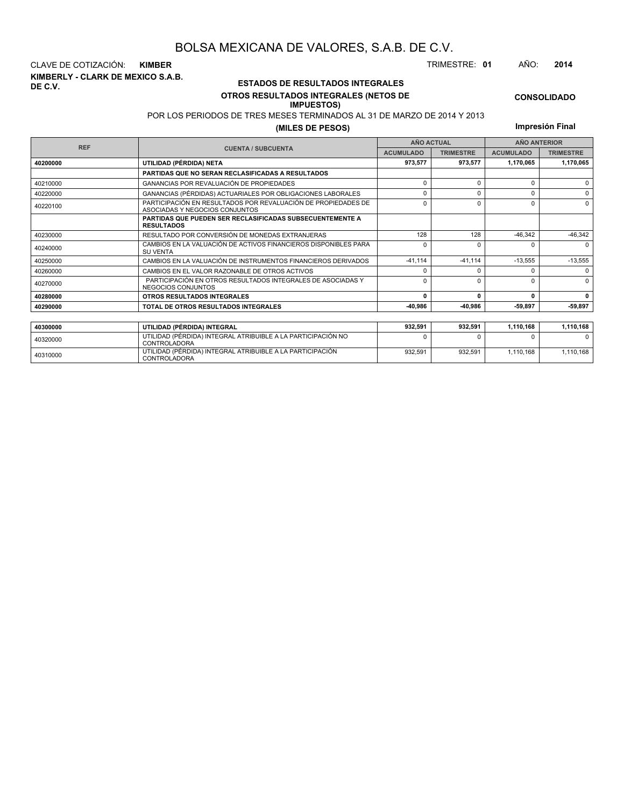**KIMBERLY - CLARK DE MEXICO S.A.B. DE C.V.** CLAVE DE COTIZACIÓN: **KIMBER** TRIMESTRE: **01** AÑO: **2014**

<sup>40310000</sup> UTILIDAD (PÉRDIDA) INTEGRAL ATRIBUIBLE A LA PARTICIPACIÓN CONTROLADORA

#### **ESTADOS DE RESULTADOS INTEGRALES OTROS RESULTADOS INTEGRALES (NETOS DE**

#### **IMPUESTOS)**

POR LOS PERIODOS DE TRES MESES TERMINADOS AL 31 DE MARZO DE 2014 Y 2013

#### **(MILES DE PESOS)**

**Impresión Final**

932,591 932,591 1,110,168 1,110,168

| <b>REF</b> |                                                                                                 | <b>AÑO ACTUAL</b>                                        |              | <b>ANO ANTERIOR</b> |           |  |
|------------|-------------------------------------------------------------------------------------------------|----------------------------------------------------------|--------------|---------------------|-----------|--|
|            | <b>CUENTA / SUBCUENTA</b>                                                                       | <b>ACUMULADO</b><br><b>TRIMESTRE</b><br><b>ACUMULADO</b> |              | <b>TRIMESTRE</b>    |           |  |
| 40200000   | UTILIDAD (PÉRDIDA) NETA                                                                         | 973,577                                                  | 973.577      | 1,170,065           | 1,170,065 |  |
|            | <b>PARTIDAS QUE NO SERAN RECLASIFICADAS A RESULTADOS</b>                                        |                                                          |              |                     |           |  |
| 40210000   | GANANCIAS POR REVALUACIÓN DE PROPIEDADES                                                        | $\Omega$                                                 | n            |                     | $\Omega$  |  |
| 40220000   | GANANCIAS (PÉRDIDAS) ACTUARIALES POR OBLIGACIONES LABORALES                                     | ŋ                                                        | ŋ            |                     | $\Omega$  |  |
| 40220100   | PARTICIPACIÓN EN RESULTADOS POR REVALUACIÓN DE PROPIEDADES DE<br>ASOCIADAS Y NEGOCIOS CONJUNTOS | 0                                                        | ŋ            |                     | $\Omega$  |  |
|            | <b>PARTIDAS QUE PUEDEN SER RECLASIFICADAS SUBSECUENTEMENTE A</b><br><b>RESULTADOS</b>           |                                                          |              |                     |           |  |
| 40230000   | RESULTADO POR CONVERSIÓN DE MONEDAS EXTRANJERAS                                                 | 128                                                      | 128          | $-46,342$           | $-46,342$ |  |
| 40240000   | CAMBIOS EN LA VALUACIÓN DE ACTIVOS FINANCIEROS DISPONIBLES PARA<br><b>SU VENTA</b>              | $\Omega$                                                 |              |                     | $\Omega$  |  |
| 40250000   | CAMBIOS EN LA VALUACIÓN DE INSTRUMENTOS FINANCIEROS DERIVADOS                                   | $-41, 114$                                               | $-41,114$    | $-13,555$           | $-13,555$ |  |
| 40260000   | CAMBIOS EN EL VALOR RAZONABLE DE OTROS ACTIVOS                                                  |                                                          |              |                     | $\Omega$  |  |
| 40270000   | PARTICIPACIÓN EN OTROS RESULTADOS INTEGRALES DE ASOCIADAS Y<br>NEGOCIOS CONJUNTOS               | $\Omega$                                                 |              |                     | $\Omega$  |  |
| 40280000   | OTROS RESULTADOS INTEGRALES                                                                     | 0                                                        | $\mathbf{r}$ | O                   | 0         |  |
| 40290000   | TOTAL DE OTROS RESULTADOS INTEGRALES                                                            | -40,986                                                  | -40,986      | -59,897             | -59,897   |  |
|            |                                                                                                 |                                                          |              |                     |           |  |
| 40300000   | UTILIDAD (PÉRDIDA) INTEGRAL                                                                     | 932,591                                                  | 932,591      | 1,110,168           | 1,110,168 |  |
| 40320000   | UTILIDAD (PÉRDIDA) INTEGRAL ATRIBUIBLE A LA PARTICIPACIÓN NO<br><b>CONTROLADORA</b>             |                                                          |              |                     | $\Omega$  |  |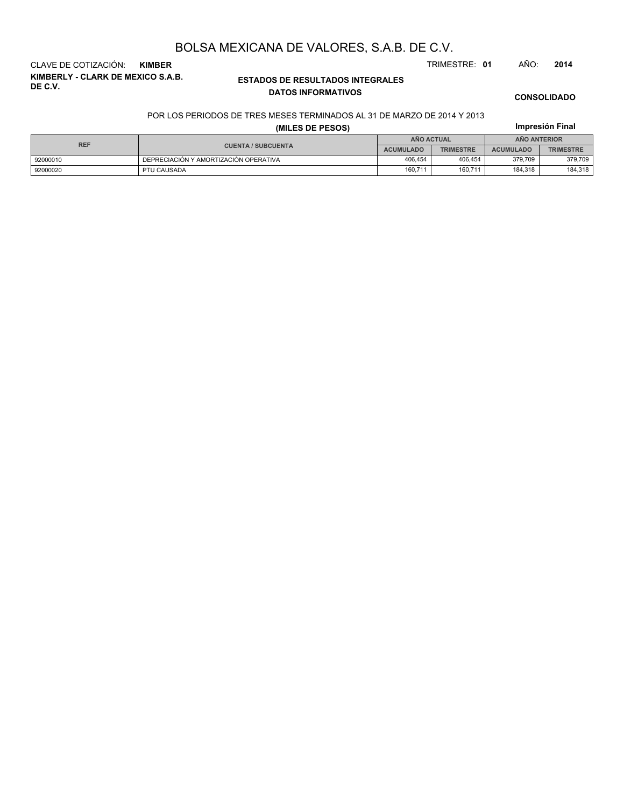**KIMBERLY - CLARK DE MEXICO S.A.B. DE C.V.** CLAVE DE COTIZACIÓN: **KIMBER** TRIMESTRE: **01** AÑO: **2014**

#### **ESTADOS DE RESULTADOS INTEGRALES DATOS INFORMATIVOS**

#### **CONSOLIDADO**

**Impresión Final**

#### POR LOS PERIODOS DE TRES MESES TERMINADOS AL 31 DE MARZO DE 2014 Y 2013

#### **(MILES DE PESOS)**

| <b>REF</b> |                                       | AÑO ACTUAL       |                  | <b>ANO ANTERIOR</b> |                  |  |
|------------|---------------------------------------|------------------|------------------|---------------------|------------------|--|
|            | <b>CUENTA / SUBCUENTA</b>             | <b>ACUMULADO</b> | <b>TRIMESTRE</b> | <b>ACUMULADO</b>    | <b>TRIMESTRE</b> |  |
| 92000010   | DEPRECIACIÓN Y AMORTIZACIÓN OPERATIVA | 406.454          | 406.454          | 379.709             | 379,709          |  |
| 92000020   | PTU CAUSADA                           | 160,711          | 160,711          | 184,318             | 184,318          |  |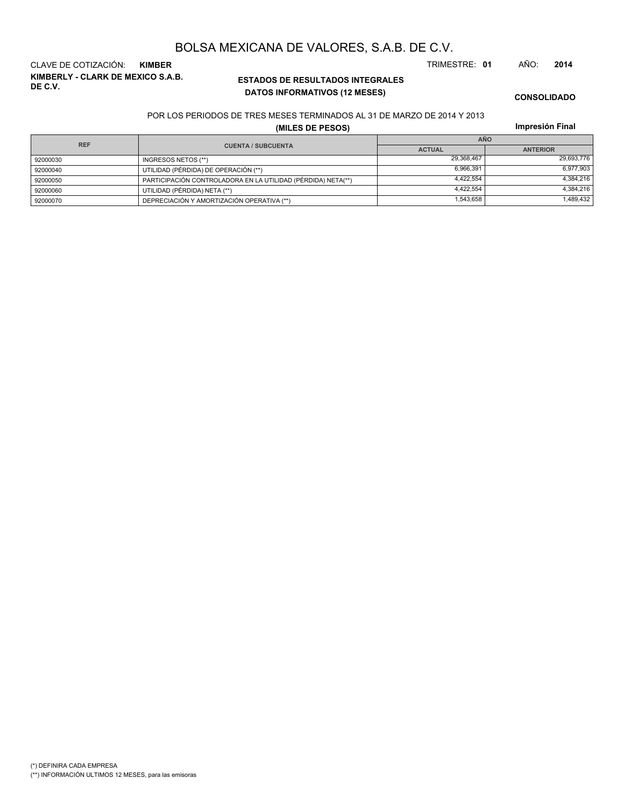(\*\*) INFORMACIÓN ULTIMOS 12 MESES, para las emisoras

(\*) DEFINIRA CADA EMPRESA

## BOLSA MEXICANA DE VALORES, S.A.B. DE C.V.

**KIMBERLY - CLARK DE MEXICO S.A.B. DE C.V.** CLAVE DE COTIZACIÓN: **KIMBER** TRIMESTRE: **01** AÑO: **2014**

### **ESTADOS DE RESULTADOS INTEGRALES DATOS INFORMATIVOS (12 MESES)**

**CONSOLIDADO**

#### POR LOS PERIODOS DE TRES MESES TERMINADOS AL 31 DE MARZO DE 2014 Y 2013

**(MILES DE PESOS)**

|  | Impresión Final |  |
|--|-----------------|--|
|  |                 |  |

| <b>REF</b> |                                                              | <b>AÑO</b>    |                 |  |  |
|------------|--------------------------------------------------------------|---------------|-----------------|--|--|
|            | <b>CUENTA / SUBCUENTA</b>                                    | <b>ACTUAL</b> | <b>ANTERIOR</b> |  |  |
| 92000030   | INGRESOS NETOS (**)                                          | 29,368,467    | 29,693,776      |  |  |
| 92000040   | UTILIDAD (PÉRDIDA) DE OPERACIÓN (**)                         | 6,966,391     | 6,977,903       |  |  |
| 92000050   | PARTICIPACIÓN CONTROLADORA EN LA UTILIDAD (PÉRDIDA) NETA(**) | 4.422.554     | 4.384.216       |  |  |
| 92000060   | UTILIDAD (PÉRDIDA) NETA (**)                                 | 4,422,554     | 4.384.216       |  |  |
| 92000070   | DEPRECIACIÓN Y AMORTIZACIÓN OPERATIVA (**)                   | 1,543,658     | 1,489,432       |  |  |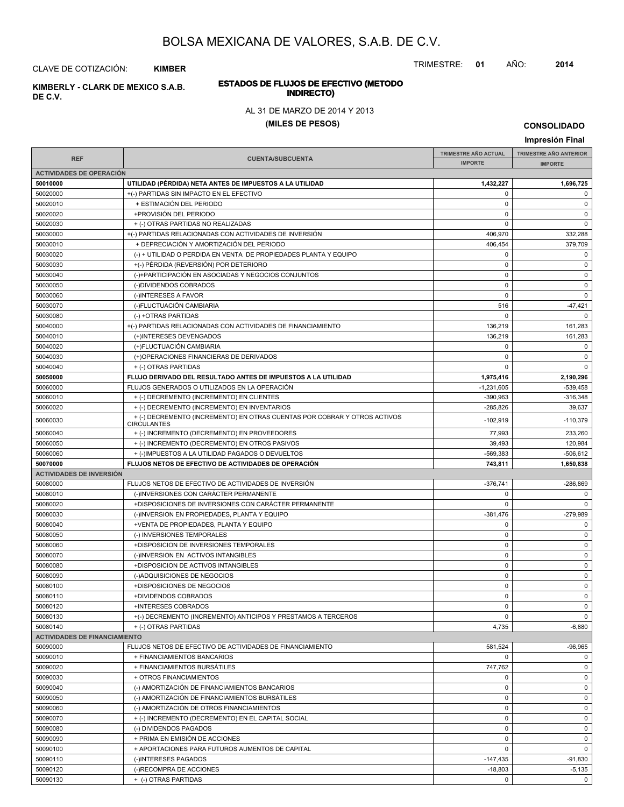TRIMESTRE: **01** AÑO: **2014**

# **ESTADOS DE FLUJOS DE EFECTIVO (METODO**

**INDIRECTO) KIMBERLY - CLARK DE MEXICO S.A.B. DE C.V.**

CLAVE DE COTIZACIÓN: **KIMBER**

#### AL 31 DE MARZO DE 2014 Y 2013

#### **(MILES DE PESOS)**

|                                      |                                                                                                 |                             | Impresión Final               |
|--------------------------------------|-------------------------------------------------------------------------------------------------|-----------------------------|-------------------------------|
|                                      |                                                                                                 | <b>TRIMESTRE AÑO ACTUAL</b> | <b>TRIMESTRE AÑO ANTERIOR</b> |
| <b>REF</b>                           | <b>CUENTA/SUBCUENTA</b>                                                                         | <b>IMPORTE</b>              | <b>IMPORTE</b>                |
| <b>ACTIVIDADES DE OPERACIÓN</b>      |                                                                                                 |                             |                               |
| 50010000                             | UTILIDAD (PÉRDIDA) NETA ANTES DE IMPUESTOS A LA UTILIDAD                                        | 1,432,227                   | 1,696,725                     |
| 50020000                             | +(-) PARTIDAS SIN IMPACTO EN EL EFECTIVO                                                        | 0                           | 0                             |
| 50020010                             | + ESTIMACIÓN DEL PERIODO                                                                        | 0                           | 0                             |
| 50020020                             | +PROVISIÓN DEL PERIODO                                                                          | $\mathbf 0$                 | 0                             |
| 50020030                             | + (-) OTRAS PARTIDAS NO REALIZADAS                                                              | 0                           | $\mathbf 0$                   |
| 50030000                             | +(-) PARTIDAS RELACIONADAS CON ACTIVIDADES DE INVERSIÓN                                         | 406,970                     | 332,288                       |
| 50030010                             | + DEPRECIACIÓN Y AMORTIZACIÓN DEL PERIODO                                                       | 406,454                     | 379,709                       |
| 50030020                             | (-) + UTILIDAD O PERDIDA EN VENTA DE PROPIEDADES PLANTA Y EQUIPO                                | 0                           | 0                             |
| 50030030                             | +(-) PÉRDIDA (REVERSIÓN) POR DETERIORO                                                          | 0                           | 0                             |
| 50030040                             | (-)+PARTICIPACIÓN EN ASOCIADAS Y NEGOCIOS CONJUNTOS                                             | $\pmb{0}$                   | 0                             |
| 50030050                             | (-)DIVIDENDOS COBRADOS                                                                          | $\mathbf 0$                 | 0                             |
| 50030060                             | (-)INTERESES A FAVOR                                                                            | $\mathbf 0$                 | $\mathbf 0$                   |
| 50030070                             | (-)FLUCTUACIÓN CAMBIARIA                                                                        | 516                         | $-47,421$                     |
| 50030080                             | (-) +OTRAS PARTIDAS                                                                             | $\Omega$                    | $\Omega$                      |
| 50040000                             | +(-) PARTIDAS RELACIONADAS CON ACTIVIDADES DE FINANCIAMIENTO                                    | 136,219                     | 161,283                       |
| 50040010                             | (+)INTERESES DEVENGADOS                                                                         | 136,219                     | 161,283                       |
| 50040020                             | (+)FLUCTUACIÓN CAMBIARIA                                                                        | 0                           | 0                             |
| 50040030                             | (+)OPERACIONES FINANCIERAS DE DERIVADOS                                                         | 0                           | $\mathbf 0$                   |
| 50040040                             | + (-) OTRAS PARTIDAS                                                                            | 0                           | $\mathbf 0$                   |
| 50050000                             | FLUJO DERIVADO DEL RESULTADO ANTES DE IMPUESTOS A LA UTILIDAD                                   | 1,975,416                   | 2,190,296                     |
| 50060000                             | FLUJOS GENERADOS O UTILIZADOS EN LA OPERACIÓN                                                   | $-1,231,605$                | $-539,458$                    |
| 50060010                             | + (-) DECREMENTO (INCREMENTO) EN CLIENTES                                                       | $-390,963$                  | $-316,348$                    |
| 50060020                             | + (-) DECREMENTO (INCREMENTO) EN INVENTARIOS                                                    | $-285,826$                  | 39,637                        |
| 50060030                             | + (-) DECREMENTO (INCREMENTO) EN OTRAS CUENTAS POR COBRAR Y OTROS ACTIVOS<br><b>CIRCULANTES</b> | $-102,919$                  | $-110,379$                    |
| 50060040                             | + (-) INCREMENTO (DECREMENTO) EN PROVEEDORES                                                    | 77,993                      | 233,260                       |
| 50060050                             | + (-) INCREMENTO (DECREMENTO) EN OTROS PASIVOS                                                  | 39,493                      | 120,984                       |
| 50060060                             | + (-)IMPUESTOS A LA UTILIDAD PAGADOS O DEVUELTOS                                                | $-569,383$                  | $-506,612$                    |
| 50070000                             | FLUJOS NETOS DE EFECTIVO DE ACTIVIDADES DE OPERACIÓN                                            | 743,811                     | 1,650,838                     |
| <b>ACTIVIDADES DE INVERSIÓN</b>      |                                                                                                 |                             |                               |
| 50080000                             | FLUJOS NETOS DE EFECTIVO DE ACTIVIDADES DE INVERSIÓN                                            | $-376,741$                  | $-286,869$                    |
| 50080010                             | (-)INVERSIONES CON CARÁCTER PERMANENTE                                                          | $\Omega$                    | 0                             |
| 50080020                             | +DISPOSICIONES DE INVERSIONES CON CARÁCTER PERMANENTE                                           | 0                           | 0                             |
| 50080030                             | (-)INVERSION EN PROPIEDADES, PLANTA Y EQUIPO                                                    | $-381,476$                  | $-279,989$                    |
| 50080040                             | +VENTA DE PROPIEDADES, PLANTA Y EQUIPO                                                          | 0                           | 0                             |
| 50080050                             | (-) INVERSIONES TEMPORALES                                                                      | $\mathbf 0$                 | 0                             |
| 50080060                             | +DISPOSICION DE INVERSIONES TEMPORALES                                                          | $\pmb{0}$                   | 0                             |
| 50080070                             | (-)INVERSION EN ACTIVOS INTANGIBLES                                                             | $\mathbf 0$                 | $\mathbf 0$                   |
| 50080080                             | +DISPOSICION DE ACTIVOS INTANGIBLES                                                             | $\mathbf 0$                 | $\mathbf 0$                   |
| 50080090                             | (-)ADQUISICIONES DE NEGOCIOS                                                                    | 0                           | 0                             |
| 50080100                             | +DISPOSICIONES DE NEGOCIOS                                                                      | $\mathbf 0$                 | $\mathbf 0$                   |
| 50080110                             | +DIVIDENDOS COBRADOS                                                                            | 0                           | 0                             |
| 50080120                             | +INTERESES COBRADOS                                                                             | 0                           | 0                             |
| 50080130                             | +(-) DECREMENTO (INCREMENTO) ANTICIPOS Y PRESTAMOS A TERCEROS                                   | 0                           | $\mathbf 0$                   |
| 50080140                             | + (-) OTRAS PARTIDAS                                                                            | 4,735                       | $-6,880$                      |
| <b>ACTIVIDADES DE FINANCIAMIENTO</b> |                                                                                                 |                             |                               |
| 50090000                             | FLUJOS NETOS DE EFECTIVO DE ACTIVIDADES DE FINANCIAMIENTO                                       | 581,524                     | $-96,965$                     |
| 50090010                             | + FINANCIAMIENTOS BANCARIOS                                                                     | 0                           | 0                             |
| 50090020                             | + FINANCIAMIENTOS BURSÁTILES                                                                    | 747,762                     | 0                             |
| 50090030                             | + OTROS FINANCIAMIENTOS                                                                         | 0                           | 0                             |
| 50090040                             | (-) AMORTIZACIÓN DE FINANCIAMIENTOS BANCARIOS                                                   | 0                           | 0                             |
| 50090050                             | (-) AMORTIZACIÓN DE FINANCIAMIENTOS BURSÁTILES                                                  | 0                           | 0                             |
| 50090060                             | (-) AMORTIZACIÓN DE OTROS FINANCIAMIENTOS                                                       | 0                           | 0                             |
| 50090070                             | + (-) INCREMENTO (DECREMENTO) EN EL CAPITAL SOCIAL                                              | 0                           | 0                             |
| 50090080                             | (-) DIVIDENDOS PAGADOS                                                                          | 0                           | 0                             |
| 50090090                             | + PRIMA EN EMISIÓN DE ACCIONES                                                                  | $\mathbf 0$                 | 0                             |
| 50090100                             | + APORTACIONES PARA FUTUROS AUMENTOS DE CAPITAL                                                 | 0                           | 0                             |
| 50090110                             | (-)INTERESES PAGADOS                                                                            | $-147,435$                  | $-91,830$                     |
| 50090120                             | (-)RECOMPRA DE ACCIONES                                                                         | $-18,803$                   | $-5,135$                      |
| 50090130                             | + (-) OTRAS PARTIDAS                                                                            | $\mathbf 0$                 | 0                             |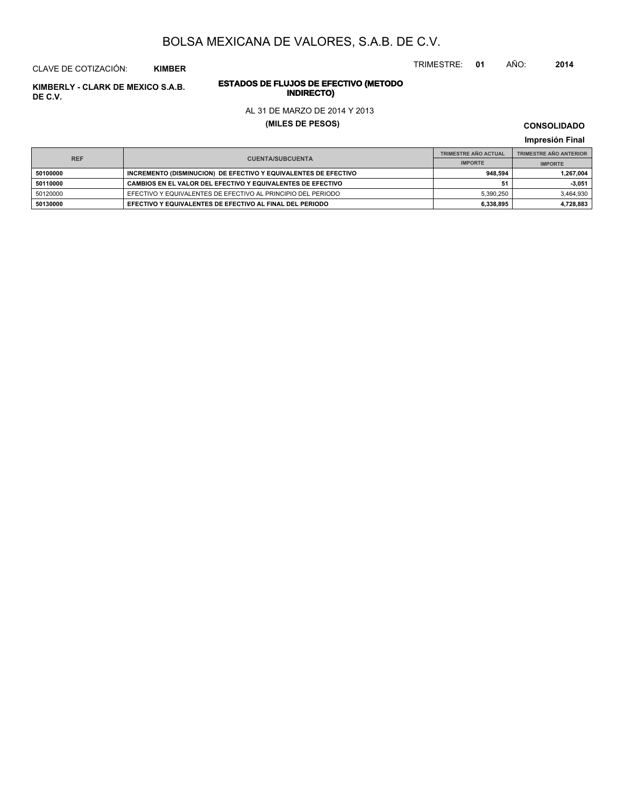TRIMESTRE: **01** AÑO: **2014**

#### CLAVE DE COTIZACIÓN: **KIMBER**

# **INDIRECTO) KIMBERLY - CLARK DE MEXICO S.A.B. DE C.V.**

# **ESTADOS DE FLUJOS DE EFECTIVO (METODO**

#### AL 31 DE MARZO DE 2014 Y 2013

#### **(MILES DE PESOS)**

**CONSOLIDADO**

**Impresión Final**

| <b>REF</b> |                                                                 | <b>TRIMESTRE AÑO ACTUAL</b> | <b>TRIMESTRE AÑO ANTERIOR</b> |  |
|------------|-----------------------------------------------------------------|-----------------------------|-------------------------------|--|
|            | <b>CUENTA/SUBCUENTA</b>                                         | <b>IMPORTE</b>              | <b>IMPORTE</b>                |  |
| 50100000   | INCREMENTO (DISMINUCION) DE EFECTIVO Y EQUIVALENTES DE EFECTIVO | 948.594                     | 1,267,004                     |  |
| 50110000   | CAMBIOS EN EL VALOR DEL EFECTIVO Y EQUIVALENTES DE EFECTIVO     |                             | $-3,051$                      |  |
| 50120000   | EFECTIVO Y EQUIVALENTES DE EFECTIVO AL PRINCIPIO DEL PERIODO    | 5.390.250                   | 3,464,930                     |  |
| 50130000   | EFECTIVO Y EQUIVALENTES DE EFECTIVO AL FINAL DEL PERIODO        | 6.338.895                   | 4,728,883                     |  |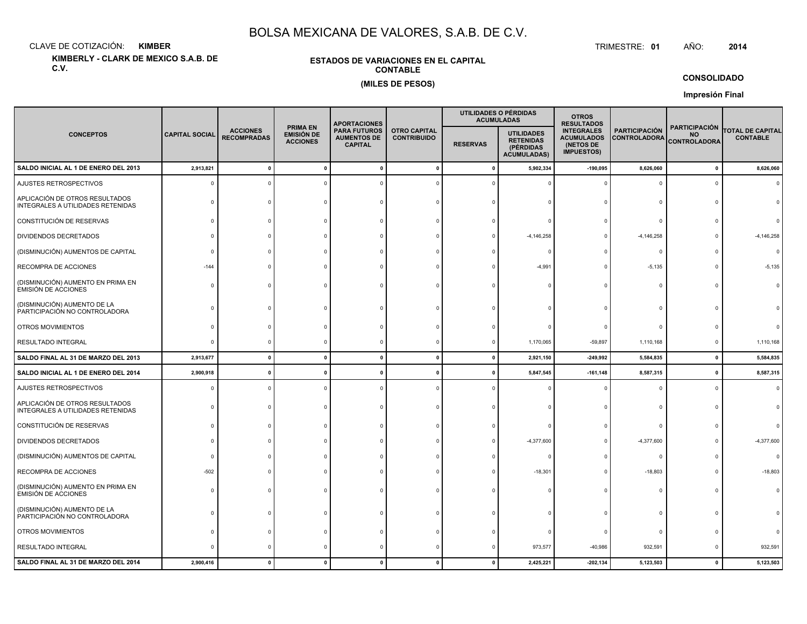CLAVE DE COTIZACIÓN:**KIMBER**: KIMBER TRIMESTRE:

**KIMBERLY - CLARK DE MEXICO S.A.B. DE C.V.**

#### **ESTADOS DE VARIACIONES EN EL CAPITALCONTABLE(MILES DE PESOS)**

TRIMESTRE: 01 AÑO: **<sup>2014</sup>**

**CONSOLIDADO**

**Impresión Final**

|                                                                     |                       |                                       |                                                  | <b>APORTACIONES</b>                                         |                                           | UTILIDADES O PÉRDIDAS | <b>ACUMULADAS</b>                                                        | <b>OTROS</b><br><b>RESULTADOS</b>                                        |                                             |                                                          |                                            |
|---------------------------------------------------------------------|-----------------------|---------------------------------------|--------------------------------------------------|-------------------------------------------------------------|-------------------------------------------|-----------------------|--------------------------------------------------------------------------|--------------------------------------------------------------------------|---------------------------------------------|----------------------------------------------------------|--------------------------------------------|
| <b>CONCEPTOS</b>                                                    | <b>CAPITAL SOCIAL</b> | <b>ACCIONES</b><br><b>RECOMPRADAS</b> | <b>PRIMA EN</b><br>EMISIÓN DE<br><b>ACCIONES</b> | <b>PARA FUTUROS</b><br><b>AUMENTOS DE</b><br><b>CAPITAL</b> | <b>OTRO CAPITAL</b><br><b>CONTRIBUIDO</b> | <b>RESERVAS</b>       | <b>UTILIDADES</b><br><b>RETENIDAS</b><br>(PÉRDIDAS<br><b>ACUMULADAS)</b> | <b>INTEGRALES</b><br><b>ACUMULADOS</b><br>(NETOS DE<br><b>IMPUESTOS)</b> | <b>PARTICIPACIÓN</b><br><b>CONTROLADORA</b> | <b>PARTICIPACIÓN</b><br><b>NO</b><br><b>CONTROLADORA</b> | <b>TOTAL DE CAPITAL</b><br><b>CONTABLE</b> |
| SALDO INICIAL AL 1 DE ENERO DEL 2013                                | 2,913,821             |                                       |                                                  |                                                             | $\mathbf{0}$                              | 0                     | 5,902,334                                                                | $-190,095$                                                               | 8,626,060                                   | $\mathbf 0$                                              | 8,626,060                                  |
| AJUSTES RETROSPECTIVOS                                              | $\epsilon$            |                                       |                                                  |                                                             |                                           |                       |                                                                          |                                                                          | 0                                           | $\Omega$                                                 |                                            |
| APLICACIÓN DE OTROS RESULTADOS<br>INTEGRALES A UTILIDADES RETENIDAS |                       |                                       |                                                  |                                                             |                                           |                       |                                                                          |                                                                          | $\Omega$                                    |                                                          |                                            |
| CONSTITUCIÓN DE RESERVAS                                            |                       |                                       |                                                  |                                                             |                                           |                       |                                                                          |                                                                          | $\Omega$                                    |                                                          |                                            |
| DIVIDENDOS DECRETADOS                                               |                       |                                       |                                                  |                                                             |                                           |                       | $-4,146,258$                                                             |                                                                          | $-4,146,258$                                |                                                          | $-4, 146, 258$                             |
| (DISMINUCIÓN) AUMENTOS DE CAPITAL                                   |                       |                                       |                                                  |                                                             |                                           |                       |                                                                          |                                                                          | $\Omega$                                    |                                                          | $\Omega$                                   |
| RECOMPRA DE ACCIONES                                                | $-144$                |                                       |                                                  |                                                             |                                           |                       | $-4,991$                                                                 |                                                                          | $-5,135$                                    | $\Omega$                                                 | $-5,135$                                   |
| (DISMINUCIÓN) AUMENTO EN PRIMA EN<br><b>EMISIÓN DE ACCIONES</b>     |                       |                                       |                                                  |                                                             |                                           |                       |                                                                          |                                                                          | $\Omega$                                    |                                                          |                                            |
| (DISMINUCIÓN) AUMENTO DE LA<br>PARTICIPACIÓN NO CONTROLADORA        |                       |                                       |                                                  |                                                             |                                           |                       |                                                                          |                                                                          | $\Omega$                                    |                                                          |                                            |
| OTROS MOVIMIENTOS                                                   |                       |                                       |                                                  |                                                             |                                           |                       |                                                                          |                                                                          | $\Omega$                                    |                                                          |                                            |
| RESULTADO INTEGRAL                                                  | C                     |                                       |                                                  |                                                             |                                           |                       | 1,170,065                                                                | $-59,897$                                                                | 1,110,168                                   | 0                                                        | 1,110,168                                  |
| SALDO FINAL AL 31 DE MARZO DEL 2013                                 | 2,913,677             | $\Omega$                              | $\mathbf{0}$                                     | $\sqrt{2}$                                                  | $\mathbf{0}$                              | $\mathbf{0}$          | 2,921,150                                                                | $-249,992$                                                               | 5,584,835                                   | $\mathbf 0$                                              | 5,584,835                                  |
| SALDO INICIAL AL 1 DE ENERO DEL 2014                                | 2,900,918             |                                       |                                                  |                                                             | -0                                        |                       | 5,847,545                                                                | $-161, 148$                                                              | 8,587,315                                   | $\mathbf 0$                                              | 8,587,315                                  |
| AJUSTES RETROSPECTIVOS                                              |                       |                                       |                                                  |                                                             |                                           |                       |                                                                          |                                                                          | $\Omega$                                    | $\Omega$                                                 | $\Omega$                                   |
| APLICACIÓN DE OTROS RESULTADOS<br>INTEGRALES A UTILIDADES RETENIDAS |                       |                                       |                                                  |                                                             |                                           |                       |                                                                          |                                                                          | $\Omega$                                    |                                                          |                                            |
| CONSTITUCIÓN DE RESERVAS                                            |                       |                                       |                                                  |                                                             |                                           |                       |                                                                          |                                                                          | $\Omega$                                    |                                                          |                                            |
| DIVIDENDOS DECRETADOS                                               |                       |                                       |                                                  |                                                             |                                           |                       | $-4,377,600$                                                             |                                                                          | $-4,377,600$                                |                                                          | $-4,377,600$                               |
| (DISMINUCIÓN) AUMENTOS DE CAPITAL                                   | ſ                     |                                       |                                                  |                                                             |                                           |                       |                                                                          |                                                                          | $^{\circ}$                                  |                                                          | $\Omega$                                   |
| RECOMPRA DE ACCIONES                                                | $-502$                |                                       |                                                  |                                                             |                                           |                       | $-18,301$                                                                |                                                                          | $-18,803$                                   | $\Omega$                                                 | $-18,803$                                  |
| (DISMINUCIÓN) AUMENTO EN PRIMA EN<br><b>EMISIÓN DE ACCIONES</b>     |                       |                                       |                                                  |                                                             |                                           |                       |                                                                          |                                                                          | $\Omega$                                    | $\Omega$                                                 |                                            |
| (DISMINUCIÓN) AUMENTO DE LA<br>PARTICIPACIÓN NO CONTROLADORA        |                       |                                       |                                                  |                                                             |                                           |                       |                                                                          |                                                                          | $\Omega$                                    |                                                          |                                            |
| OTROS MOVIMIENTOS                                                   |                       |                                       |                                                  |                                                             |                                           |                       |                                                                          |                                                                          | $\mathbf 0$                                 |                                                          |                                            |
| RESULTADO INTEGRAL                                                  |                       |                                       |                                                  |                                                             | c                                         |                       | 973,577                                                                  | $-40,986$                                                                | 932,591                                     | $\Omega$                                                 | 932,591                                    |
| SALDO FINAL AL 31 DE MARZO DEL 2014                                 | 2,900,416             |                                       |                                                  |                                                             |                                           |                       | 2,425,221                                                                | $-202, 134$                                                              | 5,123,503                                   | $\mathbf{0}$                                             | 5,123,503                                  |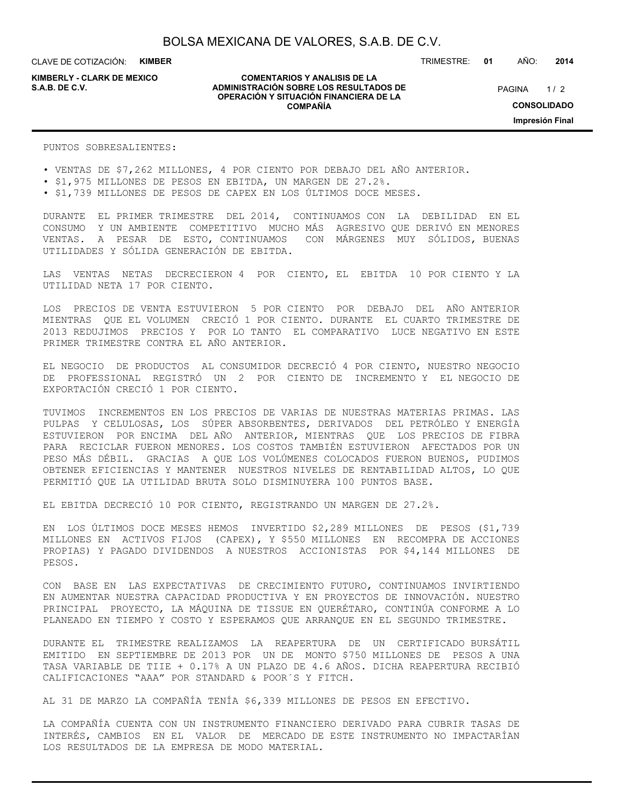CLAVE DE COTIZACIÓN: **KIMBER**

**KIMBERLY - CLARK DE MEXICO**

#### **COMENTARIOS Y ANALISIS DE LA ADMINISTRACIÓN SOBRE LOS RESULTADOS DE S.A.B. DE C.V.** PAGINA / 2 **OPERACIÓN Y SITUACIÓN FINANCIERA DE LA COMPAÑÍA**

TRIMESTRE: **01** AÑO: **2014**

 $1/2$ **CONSOLIDADO Impresión Final**

PUNTOS SOBRESALIENTES:

• VENTAS DE \$7,262 MILLONES, 4 POR CIENTO POR DEBAJO DEL AÑO ANTERIOR.

- \$1,975 MILLONES DE PESOS EN EBITDA, UN MARGEN DE 27.2%.
- \$1,739 MILLONES DE PESOS DE CAPEX EN LOS ÚLTIMOS DOCE MESES.

DURANTE EL PRIMER TRIMESTRE DEL 2014, CONTINUAMOS CON LA DEBILIDAD EN EL CONSUMO Y UN AMBIENTE COMPETITIVO MUCHO MÁS AGRESIVO QUE DERIVÓ EN MENORES VENTAS. A PESAR DE ESTO, CONTINUAMOS CON MÁRGENES MUY SÓLIDOS, BUENAS UTILIDADES Y SÓLIDA GENERACIÓN DE EBITDA.

LAS VENTAS NETAS DECRECIERON 4 POR CIENTO, EL EBITDA 10 POR CIENTO Y LA UTILIDAD NETA 17 POR CIENTO.

LOS PRECIOS DE VENTA ESTUVIERON 5 POR CIENTO POR DEBAJO DEL AÑO ANTERIOR MIENTRAS QUE EL VOLUMEN CRECIÓ 1 POR CIENTO. DURANTE EL CUARTO TRIMESTRE DE 2013 REDUJIMOS PRECIOS Y POR LO TANTO EL COMPARATIVO LUCE NEGATIVO EN ESTE PRIMER TRIMESTRE CONTRA EL AÑO ANTERIOR.

EL NEGOCIO DE PRODUCTOS AL CONSUMIDOR DECRECIÓ 4 POR CIENTO, NUESTRO NEGOCIO DE PROFESSIONAL REGISTRÓ UN 2 POR CIENTO DE INCREMENTO Y EL NEGOCIO DE EXPORTACIÓN CRECIÓ 1 POR CIENTO.

TUVIMOS INCREMENTOS EN LOS PRECIOS DE VARIAS DE NUESTRAS MATERIAS PRIMAS. LAS PULPAS Y CELULOSAS, LOS SÚPER ABSORBENTES, DERIVADOS DEL PETRÓLEO Y ENERGÍA ESTUVIERON POR ENCIMA DEL AÑO ANTERIOR, MIENTRAS QUE LOS PRECIOS DE FIBRA PARA RECICLAR FUERON MENORES. LOS COSTOS TAMBIÉN ESTUVIERON AFECTADOS POR UN PESO MÁS DÉBIL. GRACIAS A QUE LOS VOLÚMENES COLOCADOS FUERON BUENOS, PUDIMOS OBTENER EFICIENCIAS Y MANTENER NUESTROS NIVELES DE RENTABILIDAD ALTOS, LO QUE PERMITIÓ QUE LA UTILIDAD BRUTA SOLO DISMINUYERA 100 PUNTOS BASE.

EL EBITDA DECRECIÓ 10 POR CIENTO, REGISTRANDO UN MARGEN DE 27.2%.

EN LOS ÚLTIMOS DOCE MESES HEMOS INVERTIDO \$2,289 MILLONES DE PESOS (\$1,739 MILLONES EN ACTIVOS FIJOS (CAPEX), Y \$550 MILLONES EN RECOMPRA DE ACCIONES PROPIAS) Y PAGADO DIVIDENDOS A NUESTROS ACCIONISTAS POR \$4,144 MILLONES DE PESOS.

CON BASE EN LAS EXPECTATIVAS DE CRECIMIENTO FUTURO, CONTINUAMOS INVIRTIENDO EN AUMENTAR NUESTRA CAPACIDAD PRODUCTIVA Y EN PROYECTOS DE INNOVACIÓN. NUESTRO PRINCIPAL PROYECTO, LA MÁQUINA DE TISSUE EN QUERÉTARO, CONTINÚA CONFORME A LO PLANEADO EN TIEMPO Y COSTO Y ESPERAMOS QUE ARRANQUE EN EL SEGUNDO TRIMESTRE.

DURANTE EL TRIMESTRE REALIZAMOS LA REAPERTURA DE UN CERTIFICADO BURSÁTIL EMITIDO EN SEPTIEMBRE DE 2013 POR UN DE MONTO \$750 MILLONES DE PESOS A UNA TASA VARIABLE DE TIIE + 0.17% A UN PLAZO DE 4.6 AÑOS. DICHA REAPERTURA RECIBIÓ CALIFICACIONES "AAA" POR STANDARD & POOR´S Y FITCH.

AL 31 DE MARZO LA COMPAÑÍA TENÍA \$6,339 MILLONES DE PESOS EN EFECTIVO.

LA COMPAÑÍA CUENTA CON UN INSTRUMENTO FINANCIERO DERIVADO PARA CUBRIR TASAS DE INTERÉS, CAMBIOS EN EL VALOR DE MERCADO DE ESTE INSTRUMENTO NO IMPACTARÍAN LOS RESULTADOS DE LA EMPRESA DE MODO MATERIAL.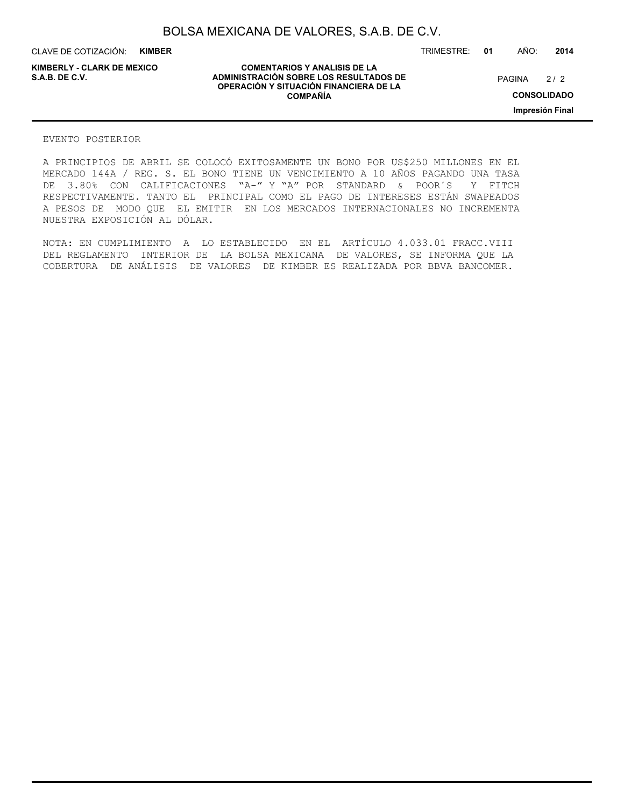CLAVE DE COTIZACIÓN: **KIMBER**

**COMENTARIOS Y ANALISIS DE LA ADMINISTRACIÓN SOBRE LOS RESULTADOS DE PAGINA 2/2 ADMINISTRACIÓN SOBRE LOS RESULTADOS DE** PAGINA 2/2 **OPERACIÓN Y SITUACIÓN FINANCIERA DE LA COMPAÑÍA**

 $2/2$ **CONSOLIDADO**

TRIMESTRE: **01** AÑO: **2014**

**Impresión Final**

#### EVENTO POSTERIOR

A PRINCIPIOS DE ABRIL SE COLOCÓ EXITOSAMENTE UN BONO POR US\$250 MILLONES EN EL MERCADO 144A / REG. S. EL BONO TIENE UN VENCIMIENTO A 10 AÑOS PAGANDO UNA TASA DE 3.80% CON CALIFICACIONES "A-" Y "A" POR STANDARD & POOR´S Y FITCH RESPECTIVAMENTE. TANTO EL PRINCIPAL COMO EL PAGO DE INTERESES ESTÁN SWAPEADOS A PESOS DE MODO QUE EL EMITIR EN LOS MERCADOS INTERNACIONALES NO INCREMENTA NUESTRA EXPOSICIÓN AL DÓLAR.

NOTA: EN CUMPLIMIENTO A LO ESTABLECIDO EN EL ARTÍCULO 4.033.01 FRACC.VIII DEL REGLAMENTO INTERIOR DE LA BOLSA MEXICANA DE VALORES, SE INFORMA QUE LA COBERTURA DE ANÁLISIS DE VALORES DE KIMBER ES REALIZADA POR BBVA BANCOMER.

# **KIMBERLY - CLARK DE MEXICO**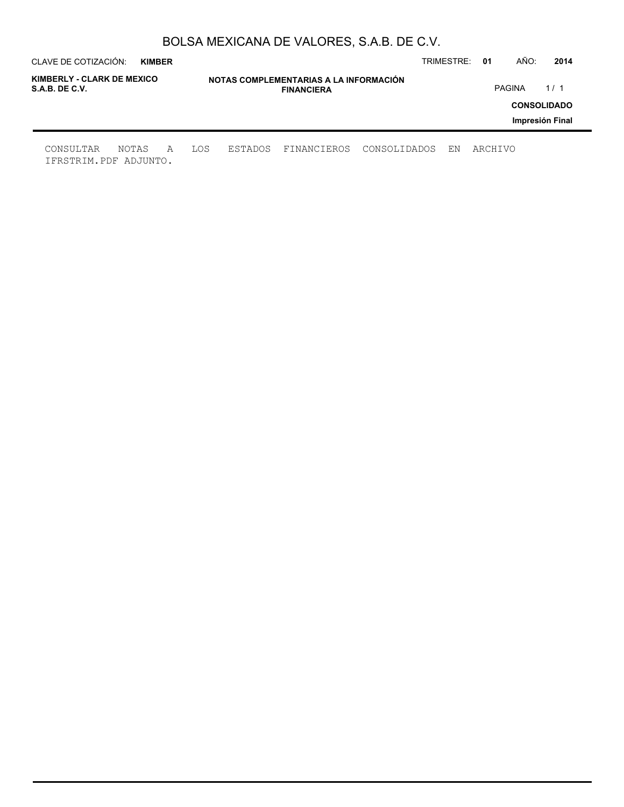| CLAVE DE COTIZACIÓN:<br><b>KIMBER</b>        |                                                             |                |  |             |              | TRIMESTRE: | -01     | AÑO: | 2014                                  |
|----------------------------------------------|-------------------------------------------------------------|----------------|--|-------------|--------------|------------|---------|------|---------------------------------------|
| KIMBERLY - CLARK DE MEXICO<br>S.A.B. DE C.V. | NOTAS COMPLEMENTARIAS A LA INFORMACIÓN<br><b>FINANCIERA</b> |                |  |             |              | PAGINA     | 1/1     |      |                                       |
|                                              |                                                             |                |  |             |              |            |         |      | <b>CONSOLIDADO</b><br>Impresión Final |
| CONSULTAR<br>NOTAS<br>IFRSTRIM.PDF ADJUNTO.  | A                                                           | LOS<br>ESTADOS |  | FINANCIEROS | CONSOLIDADOS | ΕN         | ARCHIVO |      |                                       |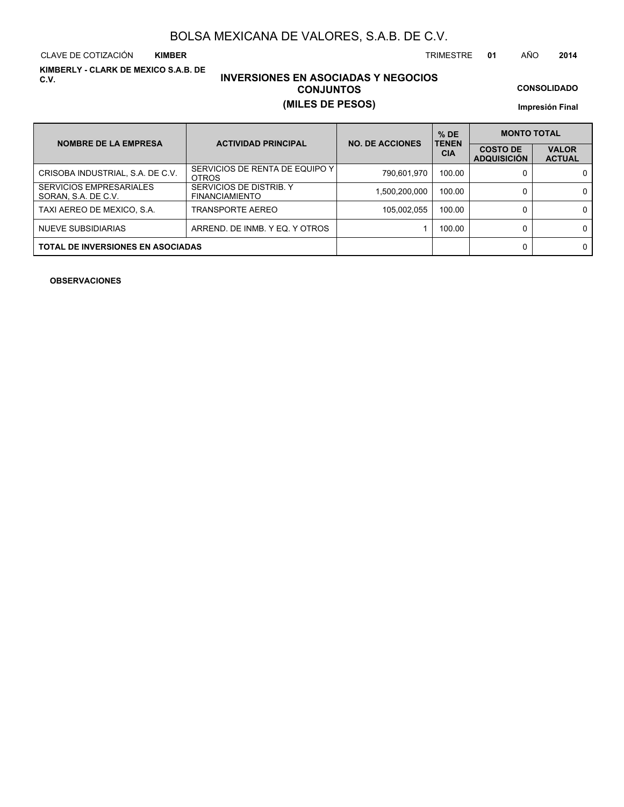CLAVE DE COTIZACIÓN TRIMESTRE **01** AÑO **2014 KIMBER**

**KIMBERLY - CLARK DE MEXICO S.A.B. DE C.V.**

## **INVERSIONES EN ASOCIADAS Y NEGOCIOS CONJUNTOS (MILES DE PESOS)**

**CONSOLIDADO**

**Impresión Final**

| <b>NOMBRE DE LA EMPRESA</b>                           | <b>ACTIVIDAD PRINCIPAL</b>                       | <b>NO. DE ACCIONES</b> | $%$ DE<br><b>TENEN</b> | <b>MONTO TOTAL</b>                    |                               |
|-------------------------------------------------------|--------------------------------------------------|------------------------|------------------------|---------------------------------------|-------------------------------|
|                                                       |                                                  |                        | <b>CIA</b>             | <b>COSTO DE</b><br><b>ADQUISICIÓN</b> | <b>VALOR</b><br><b>ACTUAL</b> |
| CRISOBA INDUSTRIAL, S.A. DE C.V.                      | SERVICIOS DE RENTA DE EQUIPO Y I<br><b>OTROS</b> | 790,601,970            | 100.00                 |                                       | 0                             |
| <b>SERVICIOS EMPRESARIALES</b><br>SORAN, S.A. DE C.V. | SERVICIOS DE DISTRIB. Y<br><b>FINANCIAMIENTO</b> | 1,500,200,000          | 100.00                 |                                       | 0                             |
| TAXI AEREO DE MEXICO, S.A.                            | TRANSPORTE AEREO                                 | 105,002,055            | 100.00                 |                                       | 0                             |
| NUEVE SUBSIDIARIAS                                    | ARREND. DE INMB. Y EQ. Y OTROS                   |                        | 100.00                 |                                       | 0                             |
| <b>TOTAL DE INVERSIONES EN ASOCIADAS</b>              |                                                  |                        |                        |                                       | 0                             |

**OBSERVACIONES**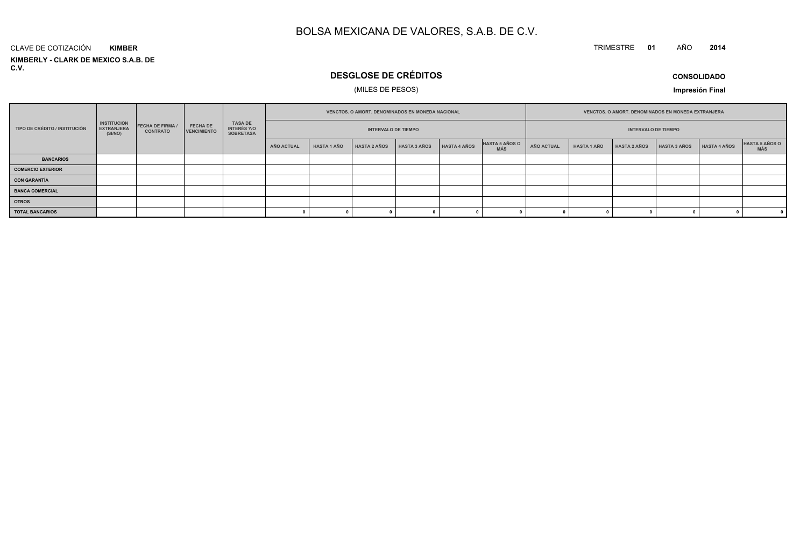#### TRIMESTRE **<sup>01</sup>** AÑO**<sup>2014</sup>**

**KIMBERLY - CLARK DE MEXICO S.A.B. DE C.V.**CLAVE DE COTIZACIÓN**KIMBER**

## **DESGLOSE DE CRÉDITOS**

### (MILES DE PESOS)

**CONSOLIDADO**

**Impresión Final**

|                               |                                                    |                                          |                                       |                                            |            | VENCTOS. O AMORT. DENOMINADOS EN MONEDA NACIONAL<br><b>INTERVALO DE TIEMPO</b> |                     |                     |              | VENCTOS. O AMORT. DENOMINADOS EN MONEDA EXTRANJERA<br><b>INTERVALO DE TIEMPO</b> |                   |                    |                     |                     |                     |                       |
|-------------------------------|----------------------------------------------------|------------------------------------------|---------------------------------------|--------------------------------------------|------------|--------------------------------------------------------------------------------|---------------------|---------------------|--------------|----------------------------------------------------------------------------------|-------------------|--------------------|---------------------|---------------------|---------------------|-----------------------|
| TIPO DE CRÉDITO / INSTITUCIÓN | <b>INSTITUCION</b><br><b>EXTRANJERA</b><br>(SI/NO) | <b>FECHA DE FIRMA</b><br><b>CONTRATO</b> | <b>FECHA DE</b><br><b>VENCIMIENTO</b> | TASA DE<br>INTERÉS Y/O<br><b>SOBRETASA</b> |            |                                                                                |                     |                     |              |                                                                                  |                   |                    |                     |                     |                     |                       |
|                               |                                                    |                                          |                                       |                                            | AÑO ACTUAL | <b>HASTA 1 AÑO</b>                                                             | <b>HASTA 2 AÑOS</b> | <b>HASTA 3 AÑOS</b> | HASTA 4 AÑOS | HASTA 5 AÑOS O<br><b>MÁS</b>                                                     | <b>AÑO ACTUAL</b> | <b>HASTA 1 AÑO</b> | <b>HASTA 2 AÑOS</b> | <b>HASTA 3 AÑOS</b> | <b>HASTA 4 AÑOS</b> | HASTA 5 AÑOS O<br>MÁS |
| <b>BANCARIOS</b>              |                                                    |                                          |                                       |                                            |            |                                                                                |                     |                     |              |                                                                                  |                   |                    |                     |                     |                     |                       |
| <b>COMERCIO EXTERIOR</b>      |                                                    |                                          |                                       |                                            |            |                                                                                |                     |                     |              |                                                                                  |                   |                    |                     |                     |                     |                       |
| <b>CON GARANTÍA</b>           |                                                    |                                          |                                       |                                            |            |                                                                                |                     |                     |              |                                                                                  |                   |                    |                     |                     |                     |                       |
| <b>BANCA COMERCIAL</b>        |                                                    |                                          |                                       |                                            |            |                                                                                |                     |                     |              |                                                                                  |                   |                    |                     |                     |                     |                       |
| <b>OTROS</b>                  |                                                    |                                          |                                       |                                            |            |                                                                                |                     |                     |              |                                                                                  |                   |                    |                     |                     |                     |                       |
| <b>TOTAL BANCARIOS</b>        |                                                    |                                          |                                       |                                            |            |                                                                                |                     |                     |              |                                                                                  |                   |                    |                     |                     |                     |                       |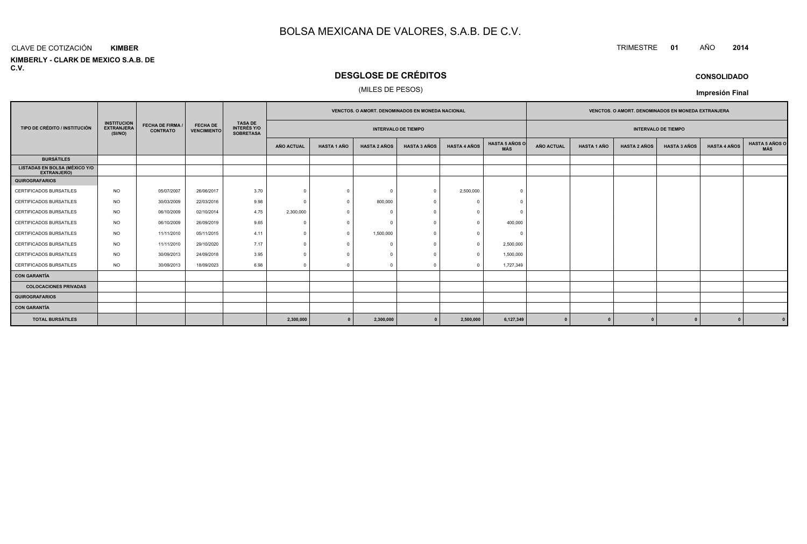#### CLAVE DE COTIZACIÓN**KIMBER**

**KIMBERLY - CLARK DE MEXICO S.A.B. DE C.V.**

## **DESGLOSE DE CRÉDITOS**

### (MILES DE PESOS)

|                                                            |                                                    |                                            |                                       |                                                          |                                                          |                    | VENCTOS. O AMORT. DENOMINADOS EN MONEDA NACIONAL |                     |                     |                              | <b>VENCTOS, O AMORT, DENOMINADOS EN MONEDA EXTRANJERA</b> |                    |                     |                              |  |              |  |  |
|------------------------------------------------------------|----------------------------------------------------|--------------------------------------------|---------------------------------------|----------------------------------------------------------|----------------------------------------------------------|--------------------|--------------------------------------------------|---------------------|---------------------|------------------------------|-----------------------------------------------------------|--------------------|---------------------|------------------------------|--|--------------|--|--|
| TIPO DE CRÉDITO / INSTITUCIÓN                              | <b>INSTITUCION</b><br><b>EXTRANJERA</b><br>(SI/NO) | <b>FECHA DE FIRMA /</b><br><b>CONTRATO</b> | <b>FECHA DE</b><br><b>VENCIMIENTO</b> | <b>TASA DE</b><br><b>INTERÉS Y/O</b><br><b>SOBRETASA</b> | <b>INTERVALO DE TIEMPO</b><br><b>INTERVALO DE TIEMPO</b> |                    |                                                  |                     |                     |                              |                                                           |                    |                     |                              |  |              |  |  |
|                                                            |                                                    |                                            |                                       |                                                          | AÑO ACTUAL                                               | <b>HASTA 1 AÑO</b> | <b>HASTA 2 AÑOS</b>                              | <b>HASTA 3 AÑOS</b> | <b>HASTA 4 AÑOS</b> | <b>HASTA 5 AÑOS O</b><br>MÁS | <b>AÑO ACTUAL</b>                                         | <b>HASTA 1 AÑO</b> | <b>HASTA 4 AÑOS</b> | <b>HASTA 5 AÑOS C</b><br>MÁS |  |              |  |  |
| <b>BURSÁTILES</b>                                          |                                                    |                                            |                                       |                                                          |                                                          |                    |                                                  |                     |                     |                              |                                                           |                    |                     |                              |  |              |  |  |
| <b>LISTADAS EN BOLSA (MÉXICO Y/O</b><br><b>EXTRANJERO)</b> |                                                    |                                            |                                       |                                                          |                                                          |                    |                                                  |                     |                     |                              |                                                           |                    |                     |                              |  |              |  |  |
| <b>QUIROGRAFARIOS</b>                                      |                                                    |                                            |                                       |                                                          |                                                          |                    |                                                  |                     |                     |                              |                                                           |                    |                     |                              |  |              |  |  |
| CERTIFICADOS BURSATILES                                    | <b>NO</b>                                          | 05/07/2007                                 | 26/06/2017                            | 3.70                                                     | $\Omega$                                                 | $\Omega$           | $\Omega$                                         |                     | 2,500,000           |                              |                                                           |                    |                     |                              |  |              |  |  |
| <b>CERTIFICADOS BURSATILES</b>                             | <b>NO</b>                                          | 30/03/2009                                 | 22/03/2016                            | 9.98                                                     | $\cap$                                                   |                    | 800,000                                          |                     |                     |                              |                                                           |                    |                     |                              |  |              |  |  |
| CERTIFICADOS BURSATILES                                    | <b>NO</b>                                          | 06/10/2009                                 | 02/10/2014                            | 4.75                                                     | 2,300,000                                                |                    | $\bigcap$                                        |                     |                     |                              |                                                           |                    |                     |                              |  |              |  |  |
| <b>CERTIFICADOS BURSATILES</b>                             | <b>NO</b>                                          | 06/10/2009                                 | 26/09/2019                            | 9.65                                                     | $\Omega$                                                 |                    | $\Omega$                                         |                     | $\Omega$            | 400,000                      |                                                           |                    |                     |                              |  |              |  |  |
| CERTIFICADOS BURSATILES                                    | <b>NO</b>                                          | 11/11/2010                                 | 05/11/2015                            | 4.11                                                     | $\Omega$                                                 |                    | 1,500,000                                        |                     | n                   | $\Omega$                     |                                                           |                    |                     |                              |  |              |  |  |
| <b>CERTIFICADOS BURSATILES</b>                             | NO.                                                | 11/11/2010                                 | 29/10/2020                            | 7.17                                                     | $\Omega$                                                 |                    |                                                  |                     | $^{\circ}$          | 2,500,000                    |                                                           |                    |                     |                              |  |              |  |  |
| CERTIFICADOS BURSATILES                                    | <b>NO</b>                                          | 30/09/2013                                 | 24/09/2018                            | 3.95                                                     | $\Omega$                                                 |                    |                                                  |                     |                     | 1,500,000                    |                                                           |                    |                     |                              |  |              |  |  |
| <b>CERTIFICADOS BURSATILES</b>                             | <b>NO</b>                                          | 30/09/2013                                 | 18/09/2023                            | 6.98                                                     | $\Omega$                                                 | $\Omega$           | $\Omega$                                         |                     | $\Omega$            | 1,727,349                    |                                                           |                    |                     |                              |  |              |  |  |
| <b>CON GARANTÍA</b>                                        |                                                    |                                            |                                       |                                                          |                                                          |                    |                                                  |                     |                     |                              |                                                           |                    |                     |                              |  |              |  |  |
| <b>COLOCACIONES PRIVADAS</b>                               |                                                    |                                            |                                       |                                                          |                                                          |                    |                                                  |                     |                     |                              |                                                           |                    |                     |                              |  |              |  |  |
| <b>QUIROGRAFARIOS</b>                                      |                                                    |                                            |                                       |                                                          |                                                          |                    |                                                  |                     |                     |                              |                                                           |                    |                     |                              |  |              |  |  |
| <b>CON GARANTÍA</b>                                        |                                                    |                                            |                                       |                                                          |                                                          |                    |                                                  |                     |                     |                              |                                                           |                    |                     |                              |  |              |  |  |
| <b>TOTAL BURSÁTILES</b>                                    |                                                    |                                            |                                       |                                                          | 2,300,000                                                | $\mathbf{0}$       | 2,300,000                                        |                     | 2,500,000           | 6,127,349                    | $\bf{0}$                                                  |                    |                     |                              |  | $\mathbf{0}$ |  |  |

### **CONSOLIDADO**

**Impresión Final**

TRIMESTRE **<sup>01</sup>** AÑO **<sup>2014</sup>**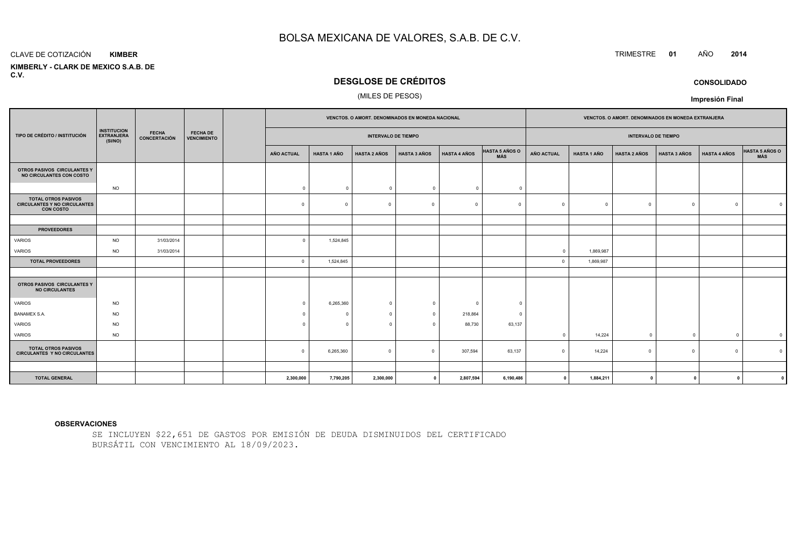#### CLAVE DE COTIZACIÓN**KIMBER**

 **KIMBERLY - CLARK DE MEXICO S.A.B. DEC.V.**

## **DESGLOSE DE CRÉDITOS**

#### (MILES DE PESOS)

|                                                                                       |                                                    |                              |                                       | VENCTOS. O AMORT. DENOMINADOS EN MONEDA NACIONAL |                    |                            |                     |                     |                              | VENCTOS. O AMORT. DENOMINADOS EN MONEDA EXTRANJERA |                    |                     |                     |                     |                |
|---------------------------------------------------------------------------------------|----------------------------------------------------|------------------------------|---------------------------------------|--------------------------------------------------|--------------------|----------------------------|---------------------|---------------------|------------------------------|----------------------------------------------------|--------------------|---------------------|---------------------|---------------------|----------------|
| TIPO DE CRÉDITO / INSTITUCIÓN                                                         | <b>INSTITUCION</b><br><b>EXTRANJERA</b><br>(SI/NO) | <b>FECHA</b><br>CONCERTACIÓN | <b>FECHA DE</b><br><b>VENCIMIENTO</b> |                                                  |                    | <b>INTERVALO DE TIEMPO</b> |                     |                     |                              | <b>INTERVALO DE TIEMPO</b>                         |                    |                     |                     |                     |                |
|                                                                                       |                                                    |                              |                                       | <b>AÑO ACTUAL</b>                                | <b>HASTA 1 AÑO</b> | <b>HASTA 2 AÑOS</b>        | <b>HASTA 3 AÑOS</b> | <b>HASTA 4 AÑOS</b> | <b>HASTA 5 AÑOS O</b><br>MÁS | AÑO ACTUAL                                         | <b>HASTA 1 AÑO</b> | <b>HASTA 2 AÑOS</b> | <b>HASTA 3 AÑOS</b> | <b>HASTA 4 AÑOS</b> | HASTA 5 AÑOS O |
| OTROS PASIVOS CIRCULANTES Y<br>NO CIRCULANTES CON COSTO                               |                                                    |                              |                                       |                                                  |                    |                            |                     |                     |                              |                                                    |                    |                     |                     |                     |                |
|                                                                                       | <b>NO</b>                                          |                              |                                       | $\overline{0}$                                   | $\overline{0}$     | $\mathbf 0$                | $\overline{0}$      | $\mathbf{0}$        | $\Omega$                     |                                                    |                    |                     |                     |                     |                |
| <b>TOTAL OTROS PASIVOS</b><br><b>CIRCULANTES Y NO CIRCULANTES</b><br><b>CON COSTO</b> |                                                    |                              |                                       | $^{\circ}$                                       | $\Omega$           | $\circ$                    | $\overline{0}$      | $\Omega$            | $^{\circ}$                   | $\Omega$                                           | $\overline{0}$     | $\Omega$            | $\mathbf{0}$        | $\mathbf 0$         |                |
|                                                                                       |                                                    |                              |                                       |                                                  |                    |                            |                     |                     |                              |                                                    |                    |                     |                     |                     |                |
| <b>PROVEEDORES</b>                                                                    |                                                    |                              |                                       |                                                  |                    |                            |                     |                     |                              |                                                    |                    |                     |                     |                     |                |
| VARIOS                                                                                | <b>NO</b>                                          | 31/03/2014                   |                                       | $\Omega$                                         | 1,524,845          |                            |                     |                     |                              |                                                    |                    |                     |                     |                     |                |
| VARIOS                                                                                | <b>NO</b>                                          | 31/03/2014                   |                                       |                                                  |                    |                            |                     |                     |                              | $\mathbf 0$                                        | 1,869,987          |                     |                     |                     |                |
| <b>TOTAL PROVEEDORES</b>                                                              |                                                    |                              |                                       | $\circ$                                          | 1,524,845          |                            |                     |                     |                              | $\Omega$                                           | 1,869,987          |                     |                     |                     |                |
| OTROS PASIVOS CIRCULANTES Y<br><b>NO CIRCULANTES</b>                                  |                                                    |                              |                                       |                                                  |                    |                            |                     |                     |                              |                                                    |                    |                     |                     |                     |                |
| <b>VARIOS</b>                                                                         | <b>NO</b>                                          |                              |                                       | $\Omega$                                         | 6,265,360          | $^{\circ}$                 | $\Omega$            | $^{\circ}$          | $\Omega$                     |                                                    |                    |                     |                     |                     |                |
| <b>BANAMEX S.A.</b>                                                                   | <b>NO</b>                                          |                              |                                       | $\Omega$                                         | $\Omega$           | $^{\circ}$                 | $\overline{0}$      | 218,864             | $\Omega$                     |                                                    |                    |                     |                     |                     |                |
| <b>VARIOS</b>                                                                         | <b>NO</b>                                          |                              |                                       | $\Omega$                                         | $\Omega$           | $^{\circ}$                 | $\Omega$            | 88,730              | 63,137                       |                                                    |                    |                     |                     |                     |                |
| VARIOS                                                                                | <b>NO</b>                                          |                              |                                       |                                                  |                    |                            |                     |                     |                              | $\Omega$                                           | 14,224             | $\Omega$            | $\overline{0}$      | $\overline{0}$      | $\mathbf 0$    |
| <b>TOTAL OTROS PASIVOS</b><br><b>CIRCULANTES Y NO CIRCULANTES</b>                     |                                                    |                              |                                       | $\Omega$                                         | 6,265,360          | $\mathbf 0$                | $\overline{0}$      | 307,594             | 63,137                       |                                                    | 14,224             |                     | $\circ$             | $\Omega$            |                |
|                                                                                       |                                                    |                              |                                       |                                                  |                    |                            |                     |                     |                              |                                                    |                    |                     |                     |                     |                |
| <b>TOTAL GENERAL</b>                                                                  |                                                    |                              |                                       | 2,300,000                                        | 7,790,205          | 2,300,000                  | $\mathbf{a}$        | 2,807,594           | 6,190,486                    | $\mathbf 0$                                        | 1,884,211          | $\mathbf 0$         | $\mathbf{0}$        |                     |                |

#### **OBSERVACIONES**

SE INCLUYEN \$22,651 DE GASTOS POR EMISIÓN DE DEUDA DISMINUIDOS DEL CERTIFICADOBURSÁTIL CON VENCIMIENTO AL 18/09/2023.

TRIMESTRE **<sup>01</sup>** AÑO **<sup>2014</sup>**

**CONSOLIDADO**

**Impresión Final**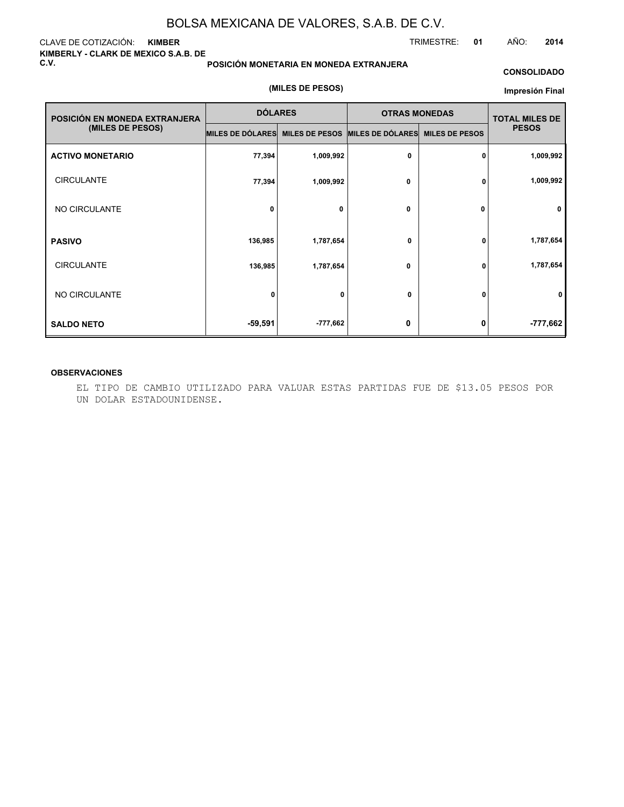#### CLAVE DE COTIZACIÓN: **KIMBER KIMBERLY - CLARK DE MEXICO S.A.B. DE C.V.**

#### **POSICIÓN MONETARIA EN MONEDA EXTRANJERA**

#### **CONSOLIDADO**

#### **(MILES DE PESOS)**

#### **Impresión Final**

| POSICIÓN EN MONEDA EXTRANJERA | <b>DÓLARES</b>                                   |            | <b>OTRAS MONEDAS</b> |                       | <b>TOTAL MILES DE</b> |  |
|-------------------------------|--------------------------------------------------|------------|----------------------|-----------------------|-----------------------|--|
| (MILES DE PESOS)              | MILES DE DÓLARES MILES DE PESOS MILES DE DÓLARES |            |                      | <b>MILES DE PESOS</b> | <b>PESOS</b>          |  |
| <b>ACTIVO MONETARIO</b>       | 77,394                                           | 1,009,992  | 0                    | 0                     | 1,009,992             |  |
| <b>CIRCULANTE</b>             | 77,394                                           | 1,009,992  | 0                    | 0                     | 1,009,992             |  |
| NO CIRCULANTE                 | 0                                                | 0          | 0                    | 0                     | $\mathbf 0$           |  |
| <b>PASIVO</b>                 | 136,985                                          | 1,787,654  | 0                    | 0                     | 1,787,654             |  |
| <b>CIRCULANTE</b>             | 136,985                                          | 1,787,654  | 0                    | 0                     | 1,787,654             |  |
| NO CIRCULANTE                 | 0                                                | 0          | 0                    | 0                     | 0                     |  |
| <b>SALDO NETO</b>             | $-59,591$                                        | $-777,662$ | 0                    | 0                     | $-777,662$            |  |

#### **OBSERVACIONES**

EL TIPO DE CAMBIO UTILIZADO PARA VALUAR ESTAS PARTIDAS FUE DE \$13.05 PESOS POR UN DOLAR ESTADOUNIDENSE.

TRIMESTRE: **01** AÑO: **2014**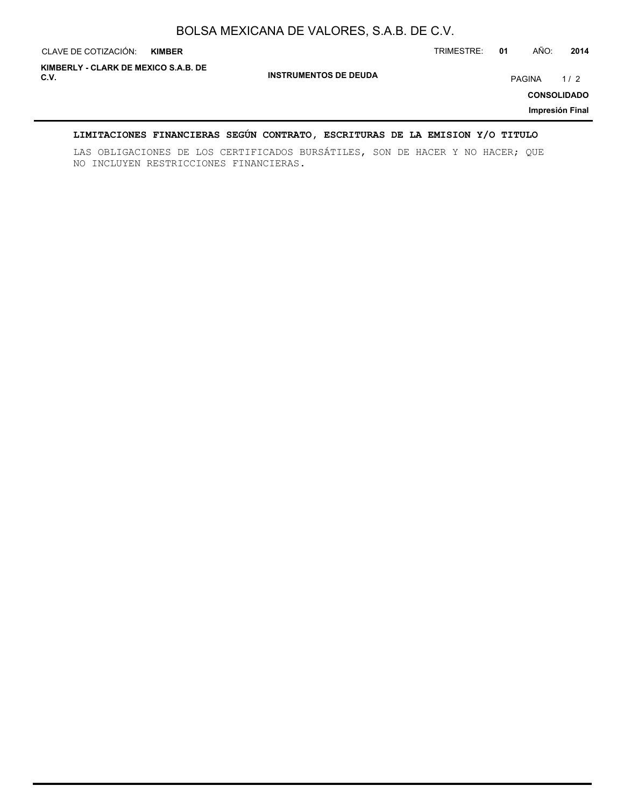| CLAVE DE COTIZACIÓN:                         | <b>KIMBER</b> |                              | TRIMESTRE: | 01 | AÑO:          | 2014                                         |
|----------------------------------------------|---------------|------------------------------|------------|----|---------------|----------------------------------------------|
| KIMBERLY - CLARK DE MEXICO S.A.B. DE<br>C.V. |               | <b>INSTRUMENTOS DE DEUDA</b> |            |    | <b>PAGINA</b> | 1/2<br><b>CONSOLIDADO</b><br>Impresión Final |

### **LIMITACIONES FINANCIERAS SEGÚN CONTRATO, ESCRITURAS DE LA EMISION Y/O TITULO**

LAS OBLIGACIONES DE LOS CERTIFICADOS BURSÁTILES, SON DE HACER Y NO HACER; QUE NO INCLUYEN RESTRICCIONES FINANCIERAS.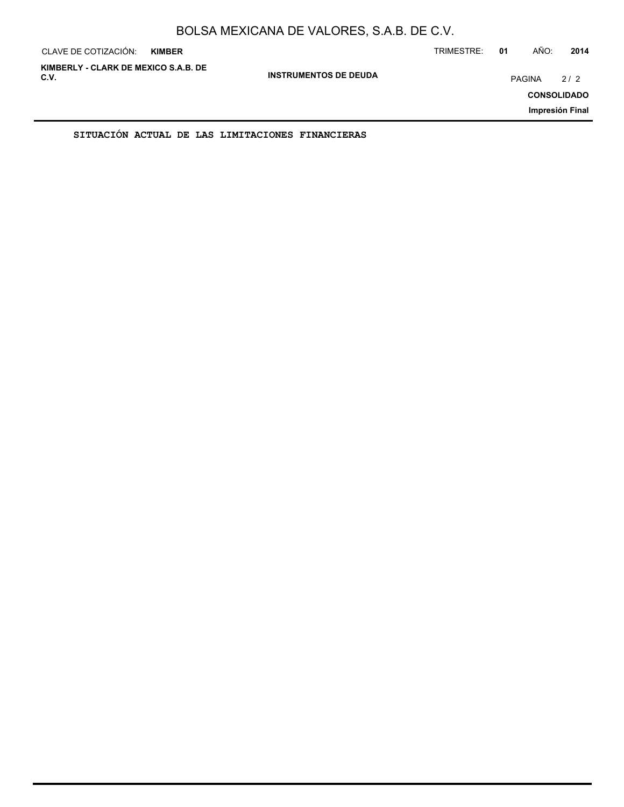| CLAVE DE COTIZACIÓN:                         | <b>KIMBER</b> |                              | TRIMESTRE: | 01            | AÑO: | 2014                                         |
|----------------------------------------------|---------------|------------------------------|------------|---------------|------|----------------------------------------------|
| KIMBERLY - CLARK DE MEXICO S.A.B. DE<br>C.V. |               | <b>INSTRUMENTOS DE DEUDA</b> |            | <b>PAGINA</b> |      | 2/2<br><b>CONSOLIDADO</b><br>Impresión Final |
|                                              |               |                              |            |               |      |                                              |

**SITUACIÓN ACTUAL DE LAS LIMITACIONES FINANCIERAS**

ř.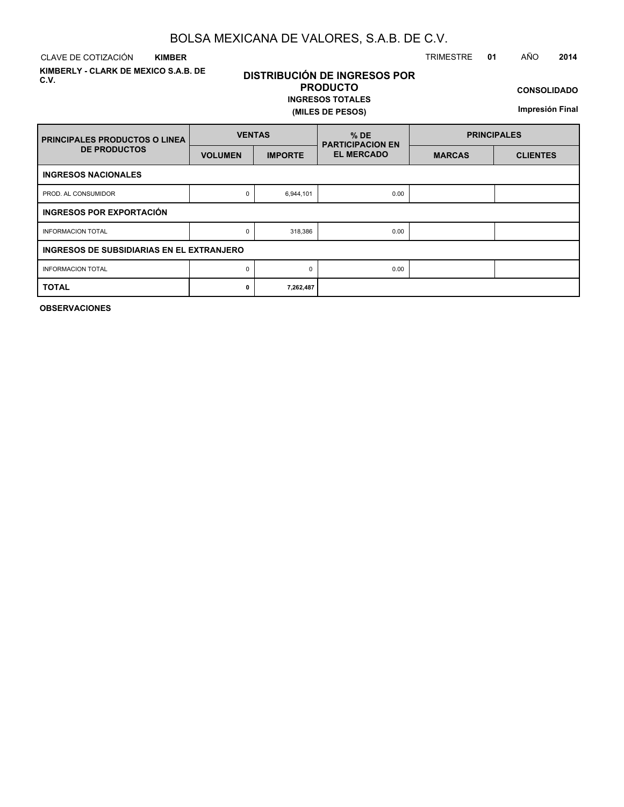CLAVE DE COTIZACIÓN TRIMESTRE **01** AÑO **2014 KIMBER**

**KIMBERLY - CLARK DE MEXICO S.A.B. DE C.V.**

## **DISTRIBUCIÓN DE INGRESOS POR PRODUCTO**

#### **INGRESOS TOTALES (MILES DE PESOS)**

**CONSOLIDADO**

**Impresión Final**

| <b>PRINCIPALES PRODUCTOS O LINEA</b>      | <b>VENTAS</b>  |                | $%$ DE<br><b>PARTICIPACION EN</b> | <b>PRINCIPALES</b> |                 |  |  |  |  |
|-------------------------------------------|----------------|----------------|-----------------------------------|--------------------|-----------------|--|--|--|--|
| <b>DE PRODUCTOS</b>                       | <b>VOLUMEN</b> | <b>IMPORTE</b> | <b>EL MERCADO</b>                 | <b>MARCAS</b>      | <b>CLIENTES</b> |  |  |  |  |
| <b>INGRESOS NACIONALES</b>                |                |                |                                   |                    |                 |  |  |  |  |
| PROD. AL CONSUMIDOR                       | 0              | 6,944,101      | 0.00                              |                    |                 |  |  |  |  |
| INGRESOS POR EXPORTACIÓN                  |                |                |                                   |                    |                 |  |  |  |  |
| <b>INFORMACION TOTAL</b>                  | 0              | 318,386        | 0.00                              |                    |                 |  |  |  |  |
| INGRESOS DE SUBSIDIARIAS EN EL EXTRANJERO |                |                |                                   |                    |                 |  |  |  |  |
| <b>INFORMACION TOTAL</b>                  | 0              | $\Omega$       | 0.00                              |                    |                 |  |  |  |  |
| <b>TOTAL</b>                              | 0              | 7,262,487      |                                   |                    |                 |  |  |  |  |

**OBSERVACIONES**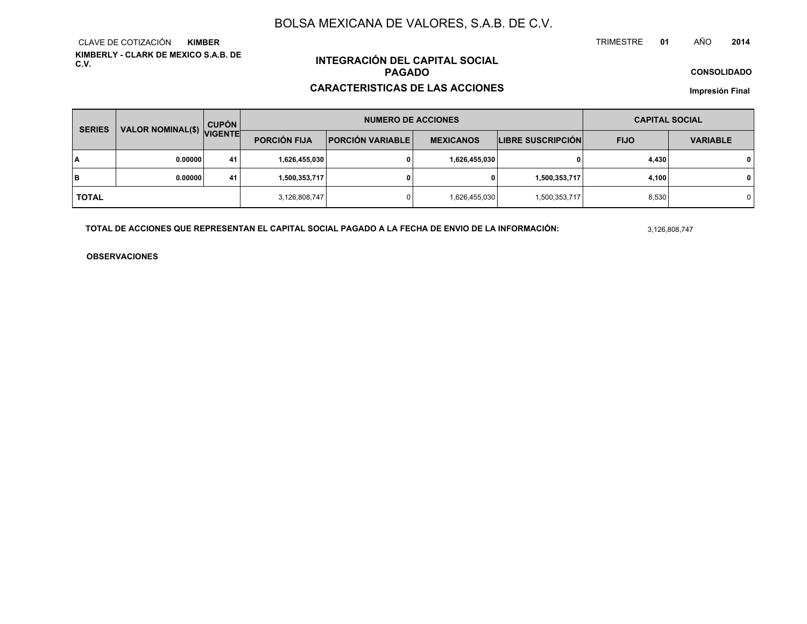**KIMBERLY - CLARK DE MEXICO S.A.B. DE C.V.**CLAVE DE COTIZACIÓN**KIMBER**

## **INTEGRACIÓN DEL CAPITAL SOCIALPAGADO**

#### **CARACTERISTICAS DE LAS ACCIONES**

**CONSOLIDADO**

**Impresión Final**

| <b>SERIES</b> | VALOR NOMINAL(\$) VIGENTE | <b>CUPÓN</b> |                     | <b>NUMERO DE ACCIONES</b> | <b>CAPITAL SOCIAL</b> |                   |             |                 |
|---------------|---------------------------|--------------|---------------------|---------------------------|-----------------------|-------------------|-------------|-----------------|
|               |                           |              | <b>PORCIÓN FIJA</b> | <b>PORCIÓN VARIABLE</b>   | <b>MEXICANOS</b>      | LIBRE SUSCRIPCIÓN | <b>FIJO</b> | <b>VARIABLE</b> |
| lΑ            | 0.00000                   | 41           | 1,626,455,030       |                           | 1,626,455,030         | 0                 | 4,430       | $\mathbf{0}$    |
| lв            | 0.00000                   | 41           | 1,500,353,717       |                           | 0                     | 1,500,353,717     | 4,100       | $\mathbf{0}$    |
| <b>TOTAL</b>  |                           |              | 3,126,808,747       |                           | 1,626,455,030         | 1,500,353,717     | 8,530       | 0               |

**TOTAL DE ACCIONES QUE REPRESENTAN EL CAPITAL SOCIAL PAGADO A LA FECHA DE ENVIO DE LA INFORMACIÓN:**

3,126,808,747

TRIMESTRE

**OBSERVACIONES**

 **<sup>01</sup>** AÑO**<sup>2014</sup>**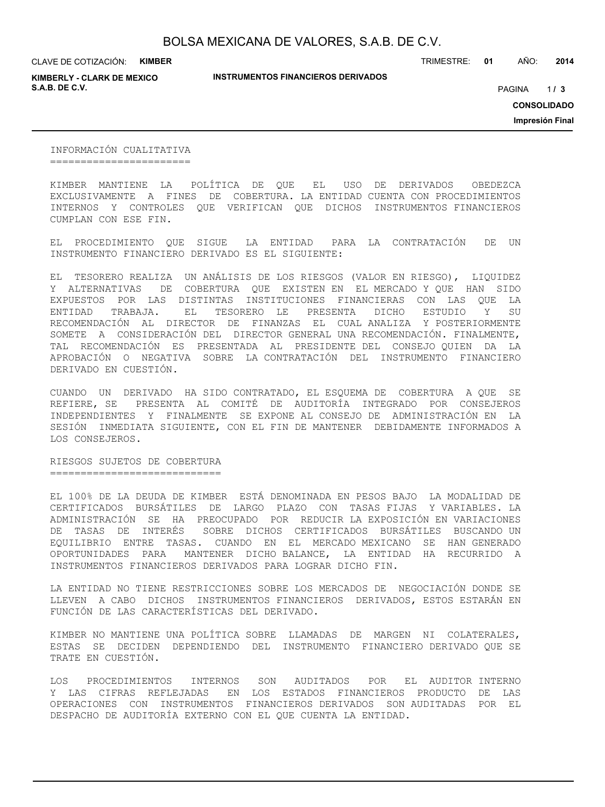CLAVE DE COTIZACIÓN: **KIMBER**

**KIMBERLY - CLARK DE MEXICO S.A.B. DE C.V.** PAGINA **/ 3**

**INSTRUMENTOS FINANCIEROS DERIVADOS**

TRIMESTRE: **01** AÑO: **2014**

 $1/3$ 

**CONSOLIDADO**

**Impresión Final**

INFORMACIÓN CUALITATIVA =======================

KIMBER MANTIENE LA POLÍTICA DE QUE EL USO DE DERIVADOS OBEDEZCA EXCLUSIVAMENTE A FINES DE COBERTURA. LA ENTIDAD CUENTA CON PROCEDIMIENTOS INTERNOS Y CONTROLES QUE VERIFICAN QUE DICHOS INSTRUMENTOS FINANCIEROS CUMPLAN CON ESE FIN.

EL PROCEDIMIENTO QUE SIGUE LA ENTIDAD PARA LA CONTRATACIÓN DE UN INSTRUMENTO FINANCIERO DERIVADO ES EL SIGUIENTE:

EL TESORERO REALIZA UN ANÁLISIS DE LOS RIESGOS (VALOR EN RIESGO), LIQUIDEZ Y ALTERNATIVAS DE COBERTURA QUE EXISTEN EN EL MERCADO Y QUE HAN SIDO EXPUESTOS POR LAS DISTINTAS INSTITUCIONES FINANCIERAS CON LAS QUE LA ENTIDAD TRABAJA. EL TESORERO LE PRESENTA DICHO ESTUDIO Y SU RECOMENDACIÓN AL DIRECTOR DE FINANZAS EL CUAL ANALIZA Y POSTERIORMENTE SOMETE A CONSIDERACIÓN DEL DIRECTOR GENERAL UNA RECOMENDACIÓN. FINALMENTE, TAL RECOMENDACIÓN ES PRESENTADA AL PRESIDENTE DEL CONSEJO QUIEN DA LA APROBACIÓN O NEGATIVA SOBRE LA CONTRATACIÓN DEL INSTRUMENTO FINANCIERO DERIVADO EN CUESTIÓN.

CUANDO UN DERIVADO HA SIDO CONTRATADO, EL ESQUEMA DE COBERTURA A QUE SE REFIERE, SE PRESENTA AL COMITÉ DE AUDITORÍA INTEGRADO POR CONSEJEROS INDEPENDIENTES Y FINALMENTE SE EXPONE AL CONSEJO DE ADMINISTRACIÓN EN LA SESIÓN INMEDIATA SIGUIENTE, CON EL FIN DE MANTENER DEBIDAMENTE INFORMADOS A LOS CONSEJEROS.

RIESGOS SUJETOS DE COBERTURA ============================

EL 100% DE LA DEUDA DE KIMBER ESTÁ DENOMINADA EN PESOS BAJO LA MODALIDAD DE CERTIFICADOS BURSÁTILES DE LARGO PLAZO CON TASAS FIJAS Y VARIABLES. LA ADMINISTRACIÓN SE HA PREOCUPADO POR REDUCIR LA EXPOSICIÓN EN VARIACIONES DE TASAS DE INTERÉS SOBRE DICHOS CERTIFICADOS BURSÁTILES BUSCANDO UN EQUILIBRIO ENTRE TASAS. CUANDO EN EL MERCADO MEXICANO SE HAN GENERADO OPORTUNIDADES PARA MANTENER DICHO BALANCE, LA ENTIDAD HA RECURRIDO A INSTRUMENTOS FINANCIEROS DERIVADOS PARA LOGRAR DICHO FIN.

LA ENTIDAD NO TIENE RESTRICCIONES SOBRE LOS MERCADOS DE NEGOCIACIÓN DONDE SE LLEVEN A CABO DICHOS INSTRUMENTOS FINANCIEROS DERIVADOS, ESTOS ESTARÁN EN FUNCIÓN DE LAS CARACTERÍSTICAS DEL DERIVADO.

KIMBER NO MANTIENE UNA POLÍTICA SOBRE LLAMADAS DE MARGEN NI COLATERALES, ESTAS SE DECIDEN DEPENDIENDO DEL INSTRUMENTO FINANCIERO DERIVADO QUE SE TRATE EN CUESTIÓN.

LOS PROCEDIMIENTOS INTERNOS SON AUDITADOS POR EL AUDITOR INTERNO Y LAS CIFRAS REFLEJADAS EN LOS ESTADOS FINANCIEROS PRODUCTO DE LAS OPERACIONES CON INSTRUMENTOS FINANCIEROS DERIVADOS SON AUDITADAS POR EL DESPACHO DE AUDITORÍA EXTERNO CON EL QUE CUENTA LA ENTIDAD.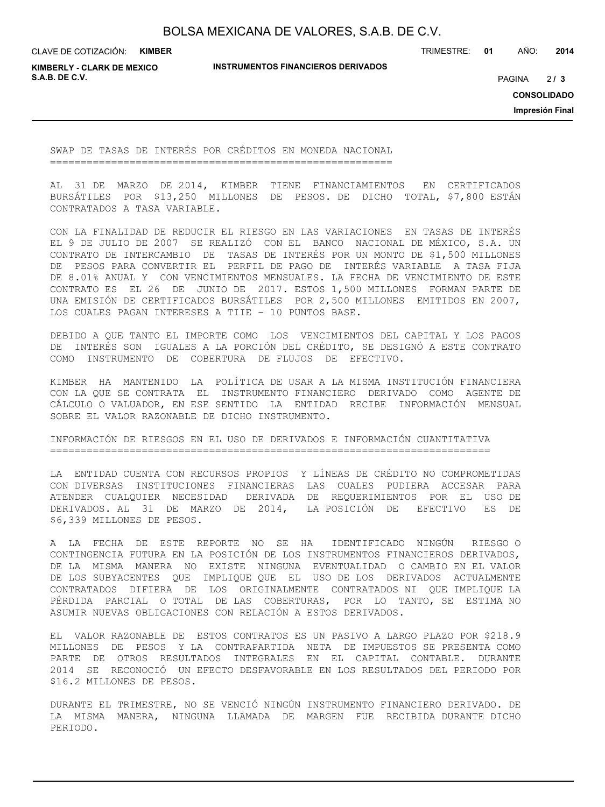CLAVE DE COTIZACIÓN: **KIMBER**

**INSTRUMENTOS FINANCIEROS DERIVADOS**

TRIMESTRE: **01** AÑO: **2014**

**KIMBERLY - CLARK DE MEXICO S.A.B. DE C.V.** PAGINA **/ 3**

 $213$ 

**CONSOLIDADO**

**Impresión Final**

SWAP DE TASAS DE INTERÉS POR CRÉDITOS EN MONEDA NACIONAL ========================================================

AL 31 DE MARZO DE 2014, KIMBER TIENE FINANCIAMIENTOS EN CERTIFICADOS BURSÁTILES POR \$13,250 MILLONES DE PESOS. DE DICHO TOTAL, \$7,800 ESTÁN CONTRATADOS A TASA VARIABLE.

CON LA FINALIDAD DE REDUCIR EL RIESGO EN LAS VARIACIONES EN TASAS DE INTERÉS EL 9 DE JULIO DE 2007 SE REALIZÓ CON EL BANCO NACIONAL DE MÉXICO, S.A. UN CONTRATO DE INTERCAMBIO DE TASAS DE INTERÉS POR UN MONTO DE \$1,500 MILLONES DE PESOS PARA CONVERTIR EL PERFIL DE PAGO DE INTERÉS VARIABLE A TASA FIJA DE 8.01% ANUAL Y CON VENCIMIENTOS MENSUALES. LA FECHA DE VENCIMIENTO DE ESTE CONTRATO ES EL 26 DE JUNIO DE 2017. ESTOS 1,500 MILLONES FORMAN PARTE DE UNA EMISIÓN DE CERTIFICADOS BURSÁTILES POR 2,500 MILLONES EMITIDOS EN 2007, LOS CUALES PAGAN INTERESES A TIIE – 10 PUNTOS BASE.

DEBIDO A QUE TANTO EL IMPORTE COMO LOS VENCIMIENTOS DEL CAPITAL Y LOS PAGOS DE INTERÉS SON IGUALES A LA PORCIÓN DEL CRÉDITO, SE DESIGNÓ A ESTE CONTRATO COMO INSTRUMENTO DE COBERTURA DE FLUJOS DE EFECTIVO.

KIMBER HA MANTENIDO LA POLÍTICA DE USAR A LA MISMA INSTITUCIÓN FINANCIERA CON LA QUE SE CONTRATA EL INSTRUMENTO FINANCIERO DERIVADO COMO AGENTE DE CÁLCULO O VALUADOR, EN ESE SENTIDO LA ENTIDAD RECIBE INFORMACIÓN MENSUAL SOBRE EL VALOR RAZONABLE DE DICHO INSTRUMENTO.

INFORMACIÓN DE RIESGOS EN EL USO DE DERIVADOS E INFORMACIÓN CUANTITATIVA ========================================================================

LA ENTIDAD CUENTA CON RECURSOS PROPIOS Y LÍNEAS DE CRÉDITO NO COMPROMETIDAS CON DIVERSAS INSTITUCIONES FINANCIERAS LAS CUALES PUDIERA ACCESAR PARA ATENDER CUALQUIER NECESIDAD DERIVADA DE REQUERIMIENTOS POR EL USO DE DERIVADOS. AL 31 DE MARZO DE 2014, LA POSICIÓN DE EFECTIVO ES DE \$6,339 MILLONES DE PESOS.

A LA FECHA DE ESTE REPORTE NO SE HA IDENTIFICADO NINGÚN RIESGO O CONTINGENCIA FUTURA EN LA POSICIÓN DE LOS INSTRUMENTOS FINANCIEROS DERIVADOS, DE LA MISMA MANERA NO EXISTE NINGUNA EVENTUALIDAD O CAMBIO EN EL VALOR DE LOS SUBYACENTES QUE IMPLIQUE QUE EL USO DE LOS DERIVADOS ACTUALMENTE CONTRATADOS DIFIERA DE LOS ORIGINALMENTE CONTRATADOS NI QUE IMPLIQUE LA PÉRDIDA PARCIAL O TOTAL DE LAS COBERTURAS, POR LO TANTO, SE ESTIMA NO ASUMIR NUEVAS OBLIGACIONES CON RELACIÓN A ESTOS DERIVADOS.

EL VALOR RAZONABLE DE ESTOS CONTRATOS ES UN PASIVO A LARGO PLAZO POR \$218.9 MILLONES DE PESOS Y LA CONTRAPARTIDA NETA DE IMPUESTOS SE PRESENTA COMO PARTE DE OTROS RESULTADOS INTEGRALES EN EL CAPITAL CONTABLE. DURANTE 2014 SE RECONOCIÓ UN EFECTO DESFAVORABLE EN LOS RESULTADOS DEL PERIODO POR \$16.2 MILLONES DE PESOS.

DURANTE EL TRIMESTRE, NO SE VENCIÓ NINGÚN INSTRUMENTO FINANCIERO DERIVADO. DE LA MISMA MANERA, NINGUNA LLAMADA DE MARGEN FUE RECIBIDA DURANTE DICHO PERIODO.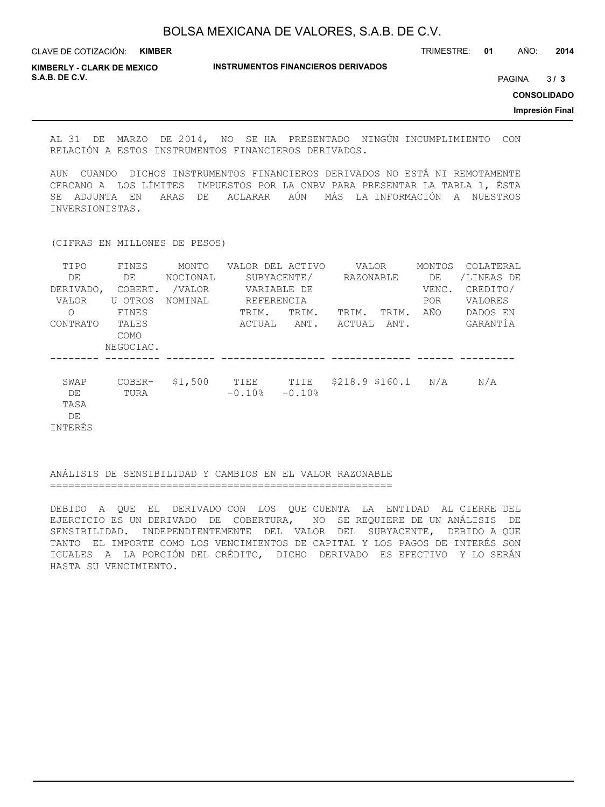**INSTRUMENTOS FINANCIEROS DERIVADOS** CLAVE DE COTIZACIÓN: **KIMBER** TRIMESTRE: **01** AÑO: **2014 KIMBERLY - CLARK DE MEXICO S.A.B. DE C.V.** PAGINA **/ 3**

 $3/3$ 

**CONSOLIDADO**

**Impresión Final**

AL 31 DE MARZO DE 2014, NO SE HA PRESENTADO NINGÚN INCUMPLIMIENTO CON RELACIÓN A ESTOS INSTRUMENTOS FINANCIEROS DERIVADOS.

AUN CUANDO DICHOS INSTRUMENTOS FINANCIEROS DERIVADOS NO ESTÁ NI REMOTAMENTE CERCANO A LOS LÍMITES IMPUESTOS POR LA CNBV PARA PRESENTAR LA TABLA 1, ÉSTA SE ADJUNTA EN ARAS DE ACLARAR AÚN MÁS LA INFORMACIÓN A NUESTROS INVERSIONISTAS.

(CIFRAS EN MILLONES DE PESOS)

| TIPO      | FINES     | MONTO    | VALOR DEL ACTIVO |           | VALOR            |       | MONTOS     | COLATERAL      |  |
|-----------|-----------|----------|------------------|-----------|------------------|-------|------------|----------------|--|
| DE        | DE        | NOCIONAL | SUBYACENTE/      | RAZONABLE |                  | DE    | /LINEAS DE |                |  |
| DERIVADO, | COBERT.   | /VALOR   | VARIABLE DE      |           |                  |       | VENC.      | CREDITO/       |  |
| VALOR     | U OTROS   | NOMINAL  | REFERENCIA       |           |                  |       | <b>POR</b> | <b>VALORES</b> |  |
| O         | FINES     |          | TRIM.            | TRIM.     | TRIM.            | TRIM. | AÑO        | DADOS EN       |  |
| CONTRATO  | TALES     |          | ACTUAL           | ANT.      | ACTUAL           | ANT.  |            | GARANTIA       |  |
|           | COMO      |          |                  |           |                  |       |            |                |  |
|           | NEGOCIAC. |          |                  |           |                  |       |            |                |  |
|           |           |          |                  |           |                  |       |            |                |  |
| SWAP      | COBER-    | \$1,500  | TIEE             | TIIE      | $$218.9$ \$160.1 |       | N/A        | N/A            |  |
| DE        | TURA      |          | $-0.10%$         | $-0.10%$  |                  |       |            |                |  |
| TASA      |           |          |                  |           |                  |       |            |                |  |
| DE        |           |          |                  |           |                  |       |            |                |  |
| INTERÉS   |           |          |                  |           |                  |       |            |                |  |

#### ANÁLISIS DE SENSIBILIDAD Y CAMBIOS EN EL VALOR RAZONABLE ========================================================

DEBIDO A QUE EL DERIVADO CON LOS QUE CUENTA LA ENTIDAD AL CIERRE DEL EJERCICIO ES UN DERIVADO DE COBERTURA, NO SE REQUIERE DE UN ANÁLISIS DE SENSIBILIDAD. INDEPENDIENTEMENTE DEL VALOR DEL SUBYACENTE, DEBIDO A QUE TANTO EL IMPORTE COMO LOS VENCIMIENTOS DE CAPITAL Y LOS PAGOS DE INTERÉS SON IGUALES A LA PORCIÓN DEL CRÉDITO, DICHO DERIVADO ES EFECTIVO Y LO SERÁN HASTA SU VENCIMIENTO.